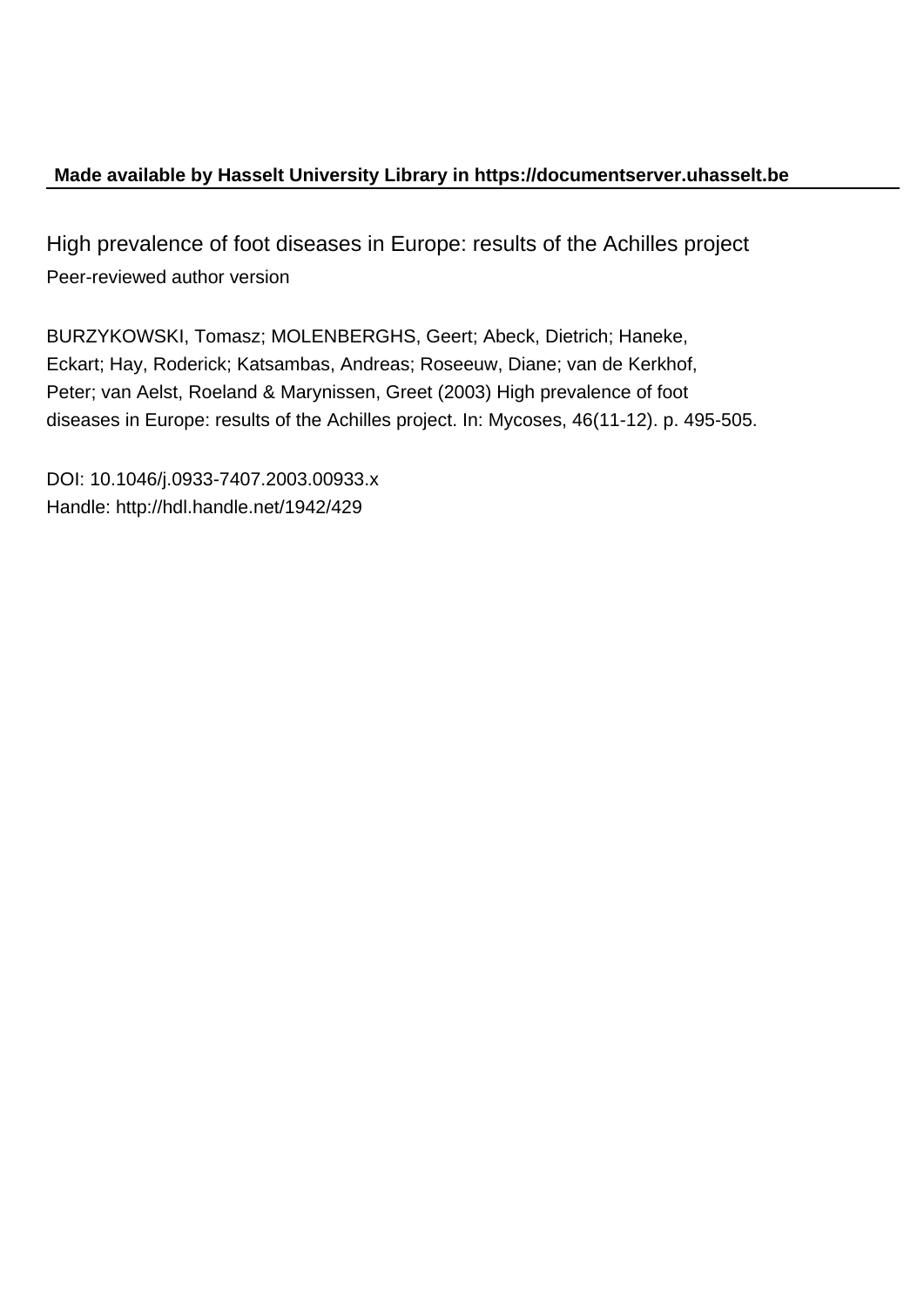## **Made available by Hasselt University Library in https://documentserver.uhasselt.be**

High prevalence of foot diseases in Europe: results of the Achilles project Peer-reviewed author version

BURZYKOWSKI, Tomasz; MOLENBERGHS, Geert; Abeck, Dietrich; Haneke, Eckart; Hay, Roderick; Katsambas, Andreas; Roseeuw, Diane; van de Kerkhof, Peter; van Aelst, Roeland & Marynissen, Greet (2003) High prevalence of foot diseases in Europe: results of the Achilles project. In: Mycoses, 46(11-12). p. 495-505.

DOI: 10.1046/j.0933-7407.2003.00933.x Handle: http://hdl.handle.net/1942/429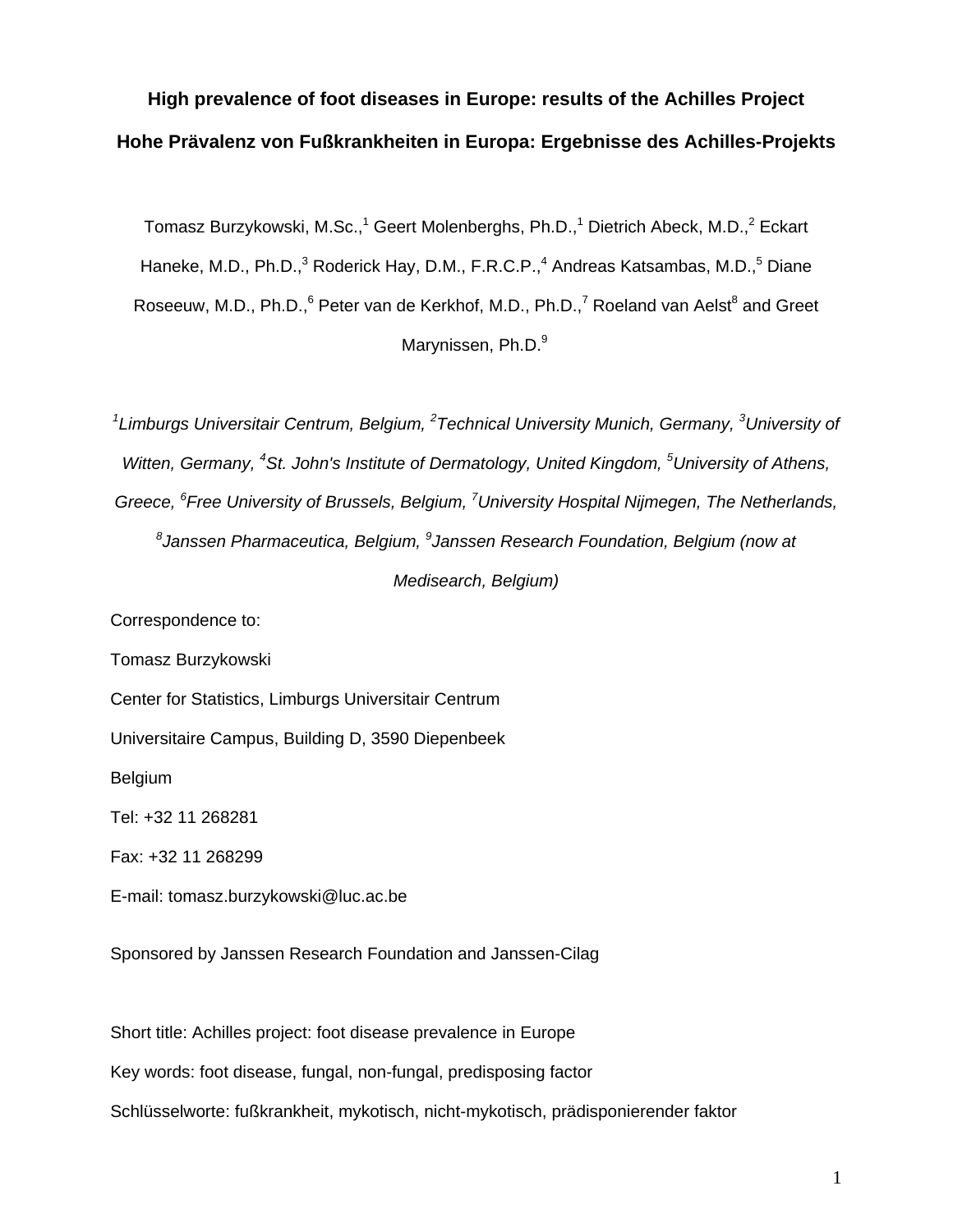# **High prevalence of foot diseases in Europe: results of the Achilles Project Hohe Prävalenz von Fußkrankheiten in Europa: Ergebnisse des Achilles-Projekts**

Tomasz Burzykowski, M.Sc.,<sup>1</sup> Geert Molenberghs, Ph.D.,<sup>1</sup> Dietrich Abeck, M.D.,<sup>2</sup> Eckart Haneke, M.D., Ph.D.,<sup>3</sup> Roderick Hay, D.M., F.R.C.P.,<sup>4</sup> Andreas Katsambas, M.D.,<sup>5</sup> Diane Roseeuw, M.D., Ph.D.,<sup>6</sup> Peter van de Kerkhof, M.D., Ph.D.,<sup>7</sup> Roeland van Aelst<sup>8</sup> and Greet Marynissen, Ph.D.<sup>9</sup>

*1 Limburgs Universitair Centrum, Belgium, <sup>2</sup> Technical University Munich, Germany, <sup>3</sup> University of* Witten, Germany, <sup>4</sup>St. John's Institute of Dermatology, United Kingdom, <sup>5</sup>University of Athens, Greece, <sup>6</sup> Free University of Brussels, Belgium, <sup>7</sup> University Hospital Nijmegen, The Netherlands, *8 Janssen Pharmaceutica, Belgium, <sup>9</sup> Janssen Research Foundation, Belgium (now at Medisearch, Belgium)*

Correspondence to:

Tomasz Burzykowski

Center for Statistics, Limburgs Universitair Centrum

Universitaire Campus, Building D, 3590 Diepenbeek

Belgium

Tel: +32 11 268281

Fax: +32 11 268299

E-mail: tomasz.burzykowski@luc.ac.be

Sponsored by Janssen Research Foundation and Janssen-Cilag

Short title: Achilles project: foot disease prevalence in Europe

Key words: foot disease, fungal, non-fungal, predisposing factor

Schlüsselworte: fußkrankheit, mykotisch, nicht-mykotisch, prädisponierender faktor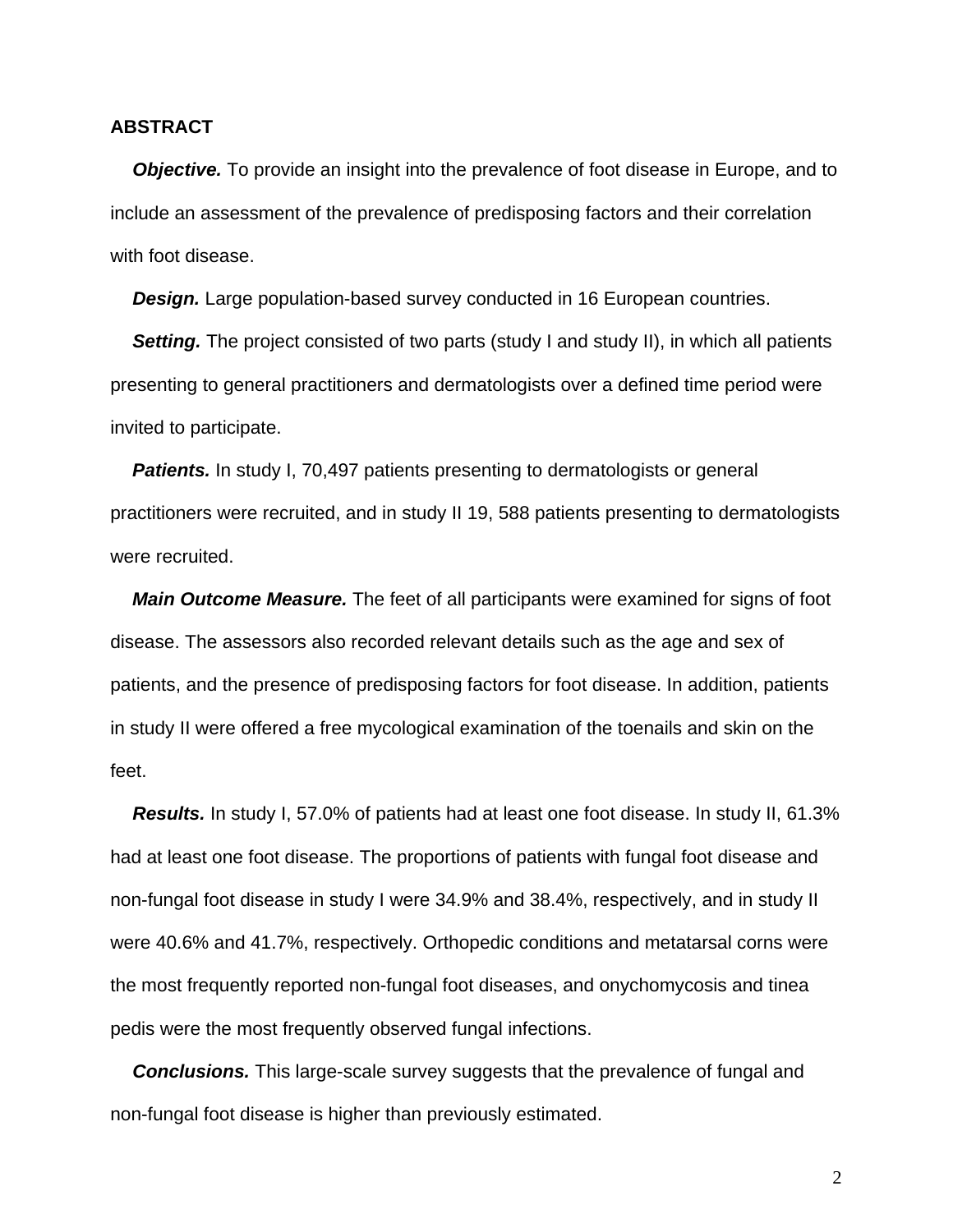### **ABSTRACT**

**Objective.** To provide an insight into the prevalence of foot disease in Europe, and to include an assessment of the prevalence of predisposing factors and their correlation with foot disease.

**Design.** Large population-based survey conducted in 16 European countries.

**Setting.** The project consisted of two parts (study I and study II), in which all patients presenting to general practitioners and dermatologists over a defined time period were invited to participate.

**Patients.** In study I, 70,497 patients presenting to dermatologists or general practitioners were recruited, and in study II 19, 588 patients presenting to dermatologists were recruited.

*Main Outcome Measure.* The feet of all participants were examined for signs of foot disease. The assessors also recorded relevant details such as the age and sex of patients, and the presence of predisposing factors for foot disease. In addition, patients in study II were offered a free mycological examination of the toenails and skin on the feet.

*Results.* In study I, 57.0% of patients had at least one foot disease. In study II, 61.3% had at least one foot disease. The proportions of patients with fungal foot disease and non-fungal foot disease in study I were 34.9% and 38.4%, respectively, and in study II were 40.6% and 41.7%, respectively. Orthopedic conditions and metatarsal corns were the most frequently reported non-fungal foot diseases, and onychomycosis and tinea pedis were the most frequently observed fungal infections.

*Conclusions.* This large-scale survey suggests that the prevalence of fungal and non-fungal foot disease is higher than previously estimated.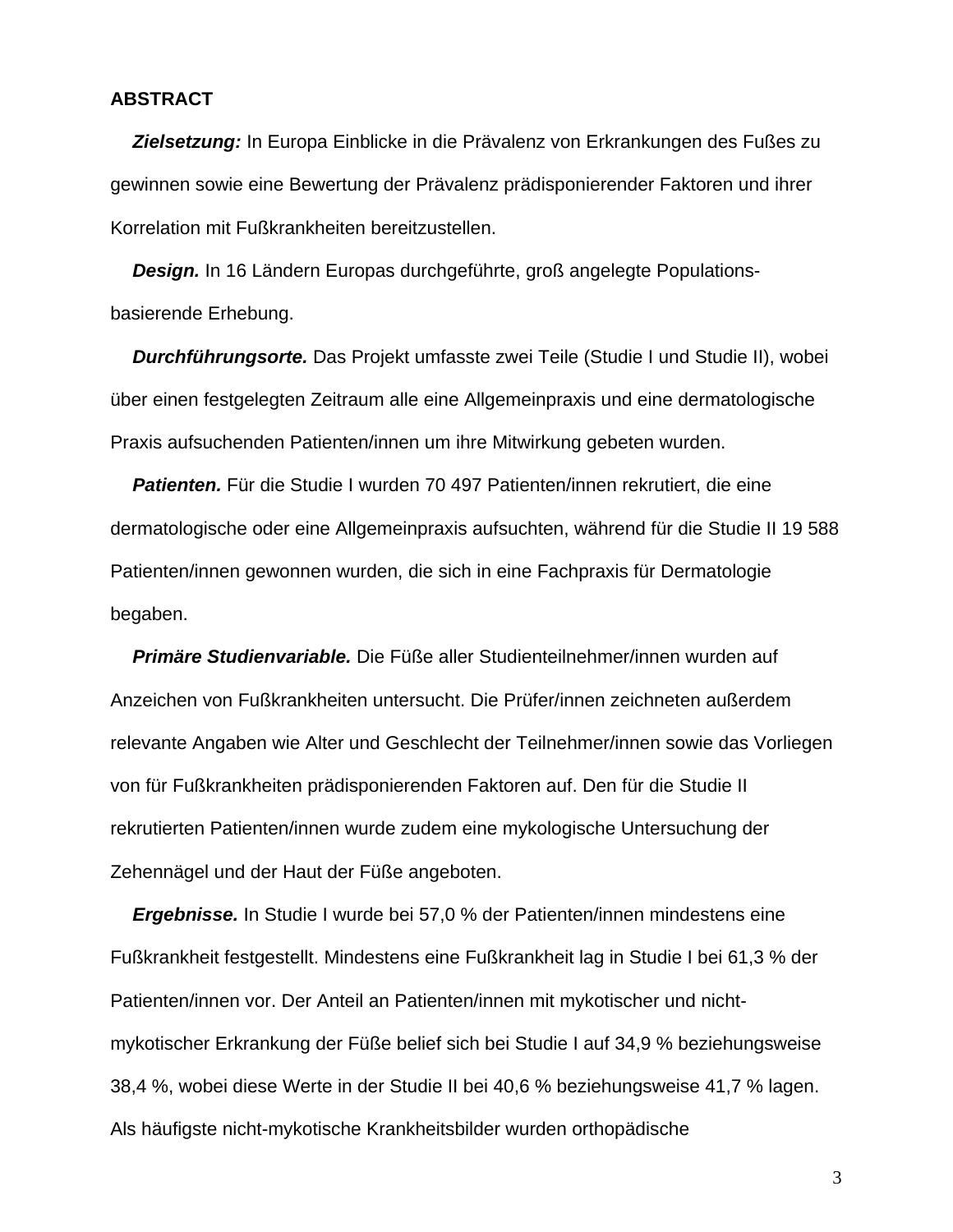### **ABSTRACT**

*Zielsetzung:* In Europa Einblicke in die Prävalenz von Erkrankungen des Fußes zu gewinnen sowie eine Bewertung der Prävalenz prädisponierender Faktoren und ihrer Korrelation mit Fußkrankheiten bereitzustellen.

*Design.* In 16 Ländern Europas durchgeführte, groß angelegte Populationsbasierende Erhebung.

*Durchführungsorte.* Das Projekt umfasste zwei Teile (Studie I und Studie II), wobei über einen festgelegten Zeitraum alle eine Allgemeinpraxis und eine dermatologische Praxis aufsuchenden Patienten/innen um ihre Mitwirkung gebeten wurden.

*Patienten.* Für die Studie I wurden 70 497 Patienten/innen rekrutiert, die eine dermatologische oder eine Allgemeinpraxis aufsuchten, während für die Studie II 19 588 Patienten/innen gewonnen wurden, die sich in eine Fachpraxis für Dermatologie begaben.

*Primäre Studienvariable.* Die Füße aller Studienteilnehmer/innen wurden auf Anzeichen von Fußkrankheiten untersucht. Die Prüfer/innen zeichneten außerdem relevante Angaben wie Alter und Geschlecht der Teilnehmer/innen sowie das Vorliegen von für Fußkrankheiten prädisponierenden Faktoren auf. Den für die Studie II rekrutierten Patienten/innen wurde zudem eine mykologische Untersuchung der Zehennägel und der Haut der Füße angeboten.

*Ergebnisse.* In Studie I wurde bei 57,0 % der Patienten/innen mindestens eine Fußkrankheit festgestellt. Mindestens eine Fußkrankheit lag in Studie I bei 61,3 % der Patienten/innen vor. Der Anteil an Patienten/innen mit mykotischer und nichtmykotischer Erkrankung der Füße belief sich bei Studie I auf 34,9 % beziehungsweise 38,4 %, wobei diese Werte in der Studie II bei 40,6 % beziehungsweise 41,7 % lagen. Als häufigste nicht-mykotische Krankheitsbilder wurden orthopädische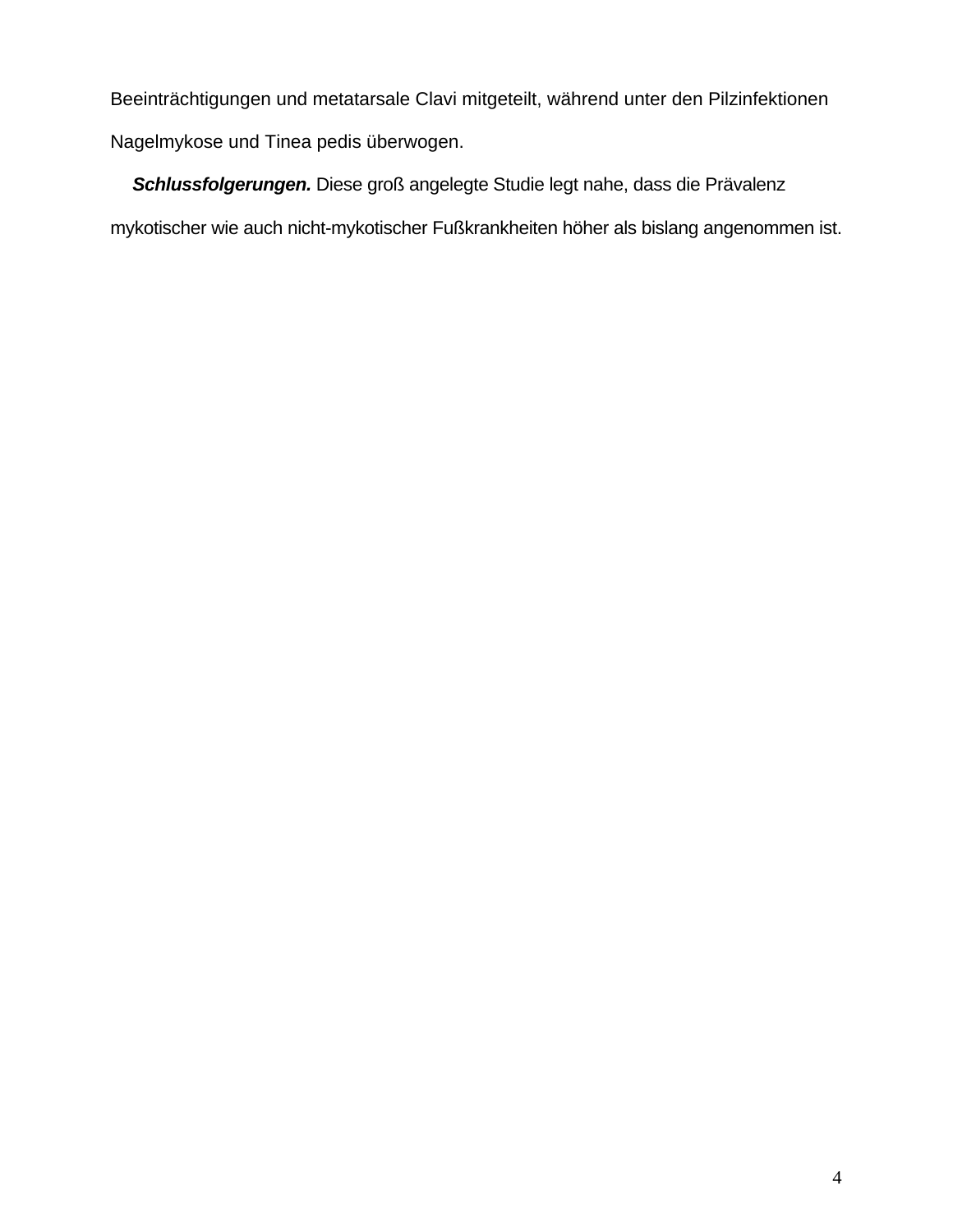Beeinträchtigungen und metatarsale Clavi mitgeteilt, während unter den Pilzinfektionen Nagelmykose und Tinea pedis überwogen.

*Schlussfolgerungen.* Diese groß angelegte Studie legt nahe, dass die Prävalenz mykotischer wie auch nicht-mykotischer Fußkrankheiten höher als bislang angenommen ist.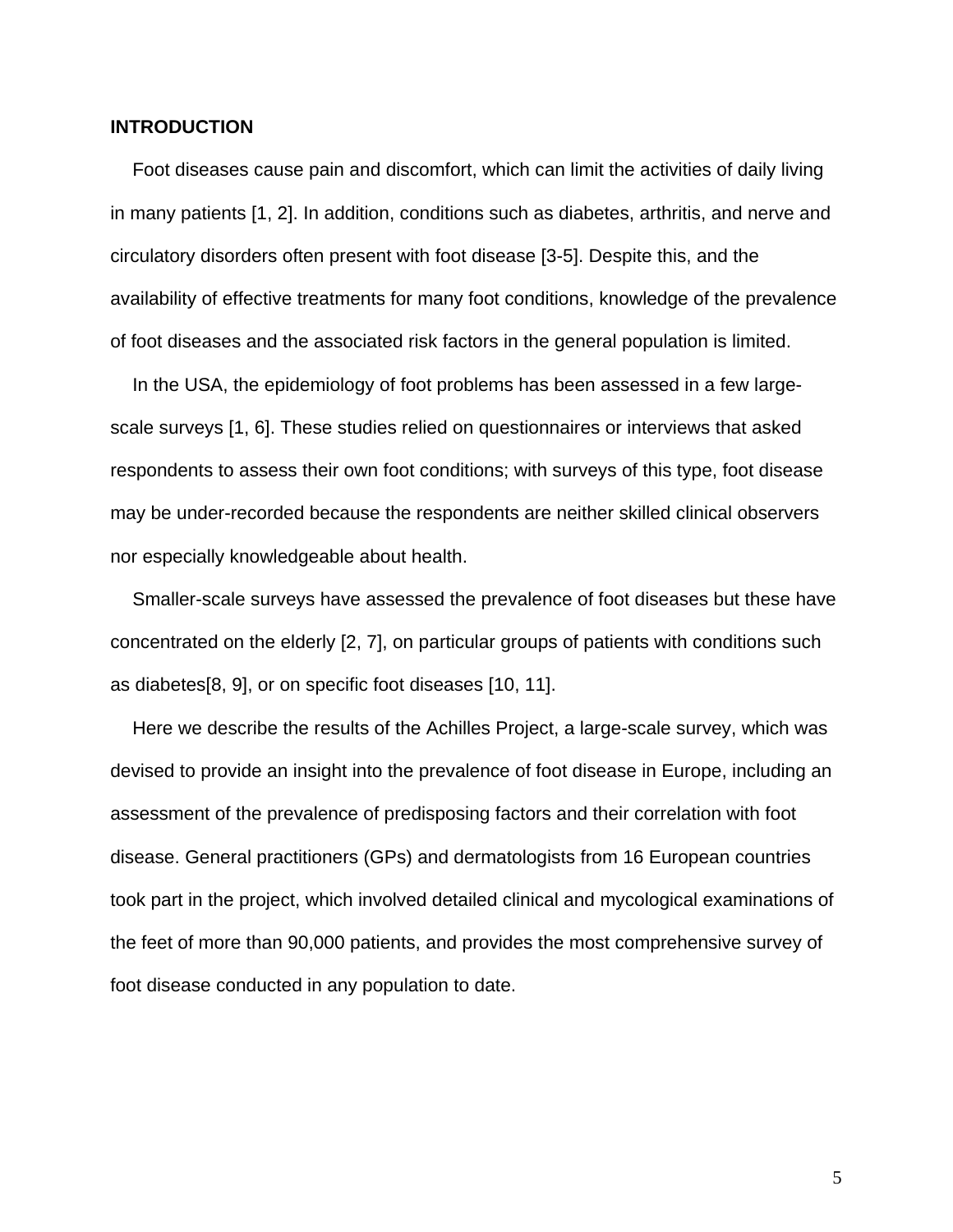#### **INTRODUCTION**

Foot diseases cause pain and discomfort, which can limit the activities of daily living in many patients [1, 2]. In addition, conditions such as diabetes, arthritis, and nerve and circulatory disorders often present with foot disease [3-5]. Despite this, and the availability of effective treatments for many foot conditions, knowledge of the prevalence of foot diseases and the associated risk factors in the general population is limited.

In the USA, the epidemiology of foot problems has been assessed in a few largescale surveys [1, 6]. These studies relied on questionnaires or interviews that asked respondents to assess their own foot conditions; with surveys of this type, foot disease may be under-recorded because the respondents are neither skilled clinical observers nor especially knowledgeable about health.

Smaller-scale surveys have assessed the prevalence of foot diseases but these have concentrated on the elderly [2, 7], on particular groups of patients with conditions such as diabetes[8, 9], or on specific foot diseases [10, 11].

Here we describe the results of the Achilles Project, a large-scale survey, which was devised to provide an insight into the prevalence of foot disease in Europe, including an assessment of the prevalence of predisposing factors and their correlation with foot disease. General practitioners (GPs) and dermatologists from 16 European countries took part in the project, which involved detailed clinical and mycological examinations of the feet of more than 90,000 patients, and provides the most comprehensive survey of foot disease conducted in any population to date.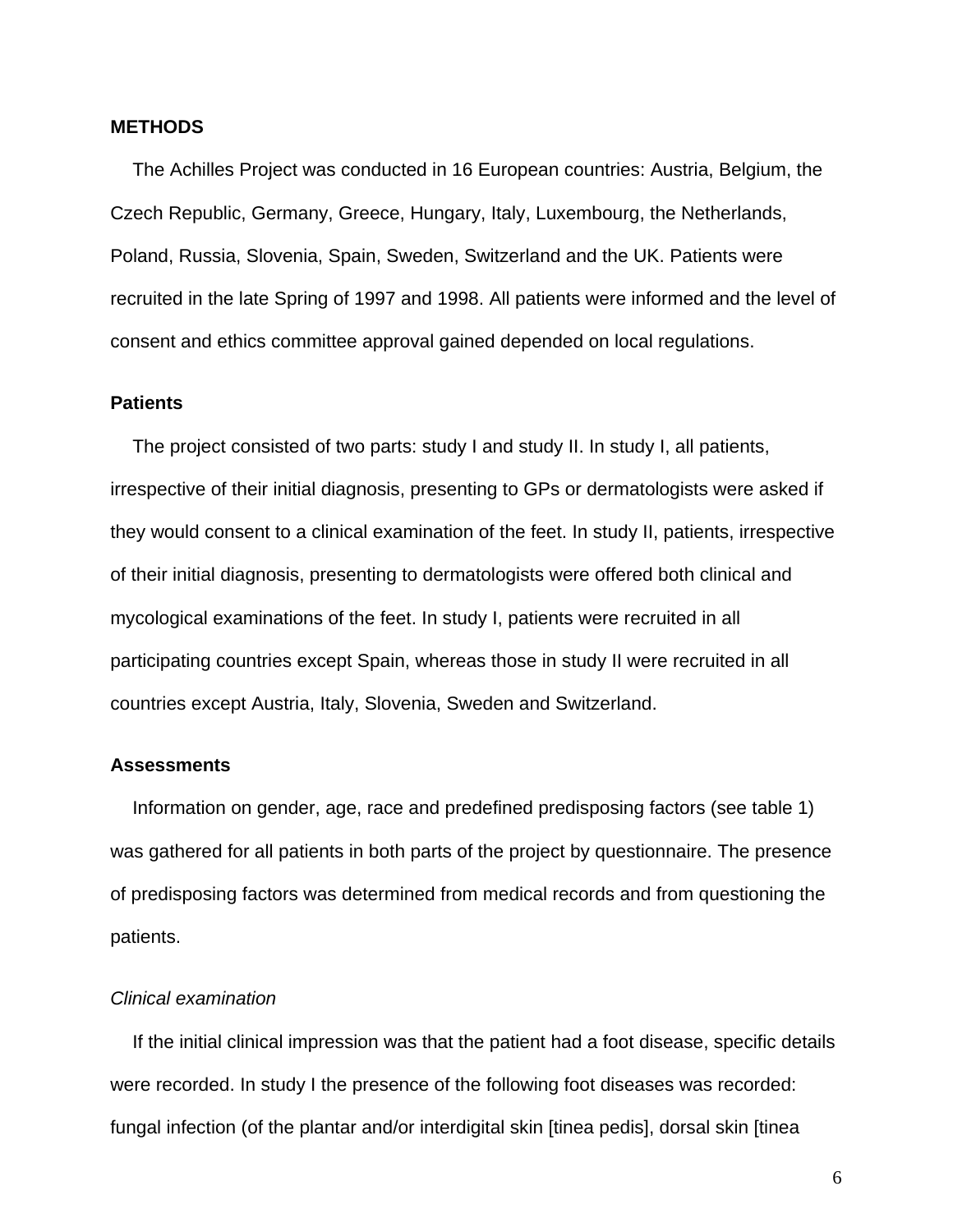#### **METHODS**

The Achilles Project was conducted in 16 European countries: Austria, Belgium, the Czech Republic, Germany, Greece, Hungary, Italy, Luxembourg, the Netherlands, Poland, Russia, Slovenia, Spain, Sweden, Switzerland and the UK. Patients were recruited in the late Spring of 1997 and 1998. All patients were informed and the level of consent and ethics committee approval gained depended on local regulations.

## **Patients**

The project consisted of two parts: study I and study II. In study I, all patients, irrespective of their initial diagnosis, presenting to GPs or dermatologists were asked if they would consent to a clinical examination of the feet. In study II, patients, irrespective of their initial diagnosis, presenting to dermatologists were offered both clinical and mycological examinations of the feet. In study I, patients were recruited in all participating countries except Spain, whereas those in study II were recruited in all countries except Austria, Italy, Slovenia, Sweden and Switzerland.

## **Assessments**

Information on gender, age, race and predefined predisposing factors (see table 1) was gathered for all patients in both parts of the project by questionnaire. The presence of predisposing factors was determined from medical records and from questioning the patients.

### *Clinical examination*

If the initial clinical impression was that the patient had a foot disease, specific details were recorded. In study I the presence of the following foot diseases was recorded: fungal infection (of the plantar and/or interdigital skin [tinea pedis], dorsal skin [tinea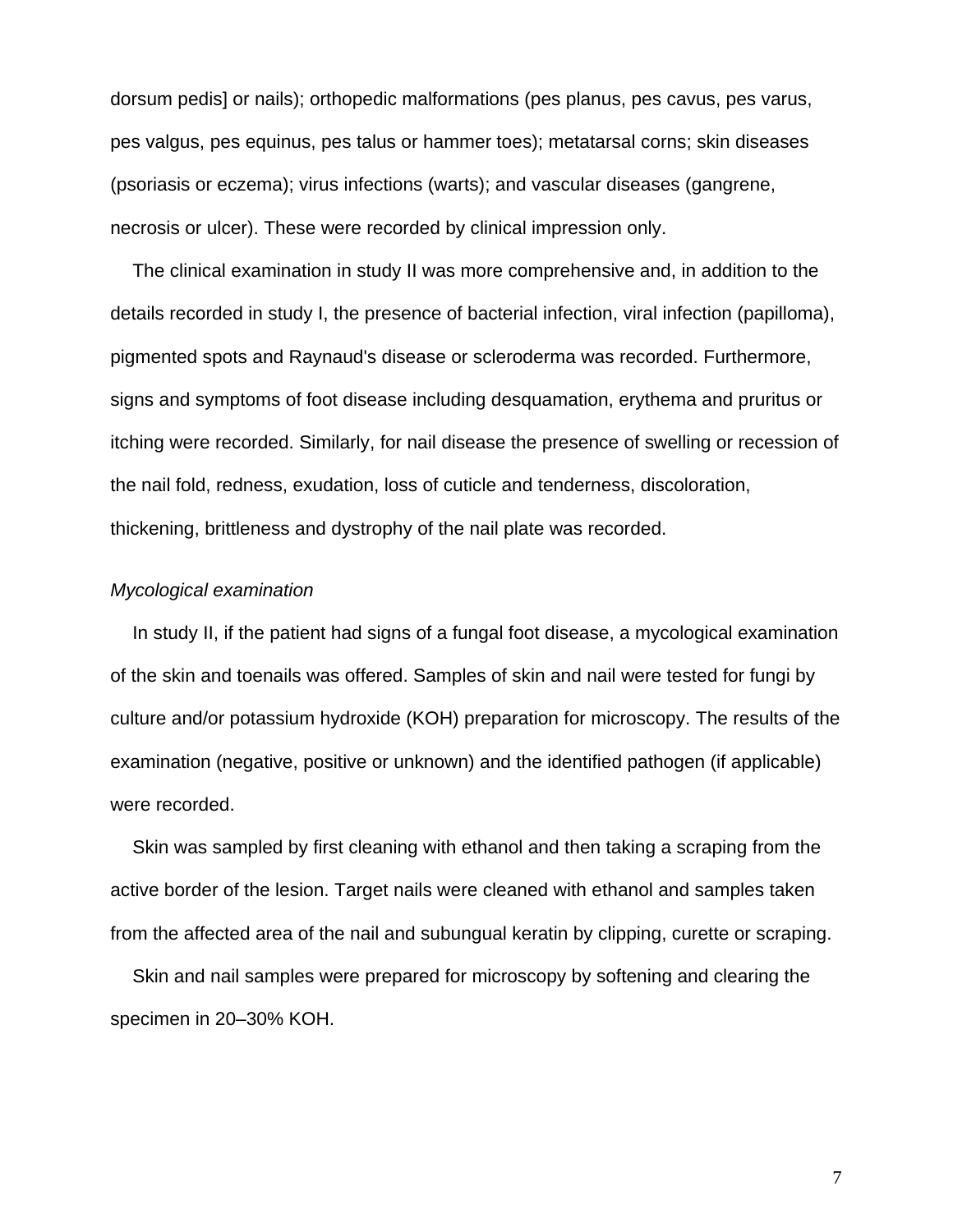dorsum pedis] or nails); orthopedic malformations (pes planus, pes cavus, pes varus, pes valgus, pes equinus, pes talus or hammer toes); metatarsal corns; skin diseases (psoriasis or eczema); virus infections (warts); and vascular diseases (gangrene, necrosis or ulcer). These were recorded by clinical impression only.

The clinical examination in study II was more comprehensive and, in addition to the details recorded in study I, the presence of bacterial infection, viral infection (papilloma), pigmented spots and Raynaud's disease or scleroderma was recorded. Furthermore, signs and symptoms of foot disease including desquamation, erythema and pruritus or itching were recorded. Similarly, for nail disease the presence of swelling or recession of the nail fold, redness, exudation, loss of cuticle and tenderness, discoloration, thickening, brittleness and dystrophy of the nail plate was recorded.

## *Mycological examination*

In study II, if the patient had signs of a fungal foot disease, a mycological examination of the skin and toenails was offered. Samples of skin and nail were tested for fungi by culture and/or potassium hydroxide (KOH) preparation for microscopy. The results of the examination (negative, positive or unknown) and the identified pathogen (if applicable) were recorded.

Skin was sampled by first cleaning with ethanol and then taking a scraping from the active border of the lesion. Target nails were cleaned with ethanol and samples taken from the affected area of the nail and subungual keratin by clipping, curette or scraping.

Skin and nail samples were prepared for microscopy by softening and clearing the specimen in 20–30% KOH.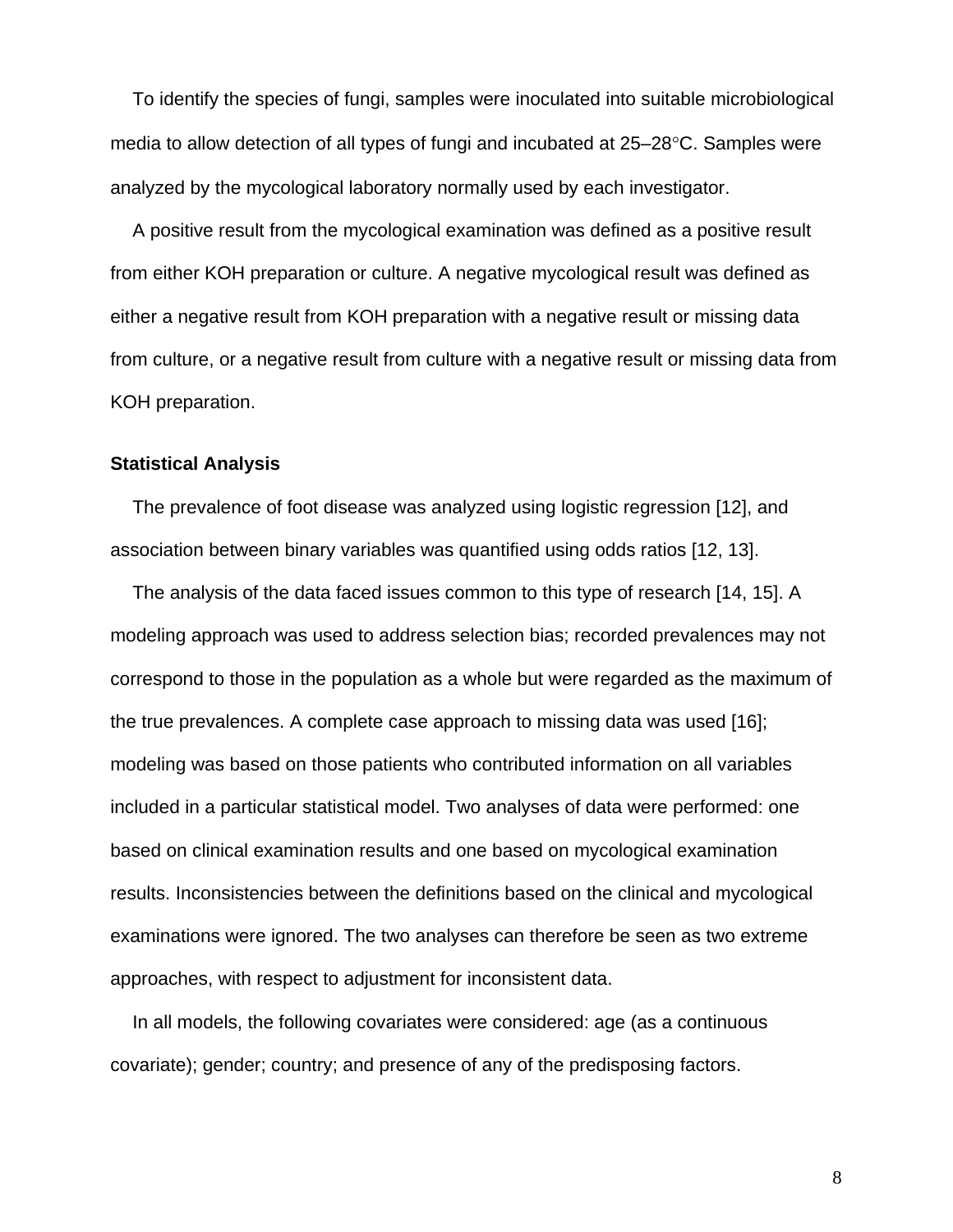To identify the species of fungi, samples were inoculated into suitable microbiological media to allow detection of all types of fungi and incubated at 25–28°C. Samples were analyzed by the mycological laboratory normally used by each investigator.

A positive result from the mycological examination was defined as a positive result from either KOH preparation or culture. A negative mycological result was defined as either a negative result from KOH preparation with a negative result or missing data from culture, or a negative result from culture with a negative result or missing data from KOH preparation.

## **Statistical Analysis**

The prevalence of foot disease was analyzed using logistic regression [12], and association between binary variables was quantified using odds ratios [12, 13].

The analysis of the data faced issues common to this type of research [14, 15]. A modeling approach was used to address selection bias; recorded prevalences may not correspond to those in the population as a whole but were regarded as the maximum of the true prevalences. A complete case approach to missing data was used [16]; modeling was based on those patients who contributed information on all variables included in a particular statistical model. Two analyses of data were performed: one based on clinical examination results and one based on mycological examination results. Inconsistencies between the definitions based on the clinical and mycological examinations were ignored. The two analyses can therefore be seen as two extreme approaches, with respect to adjustment for inconsistent data.

In all models, the following covariates were considered: age (as a continuous covariate); gender; country; and presence of any of the predisposing factors.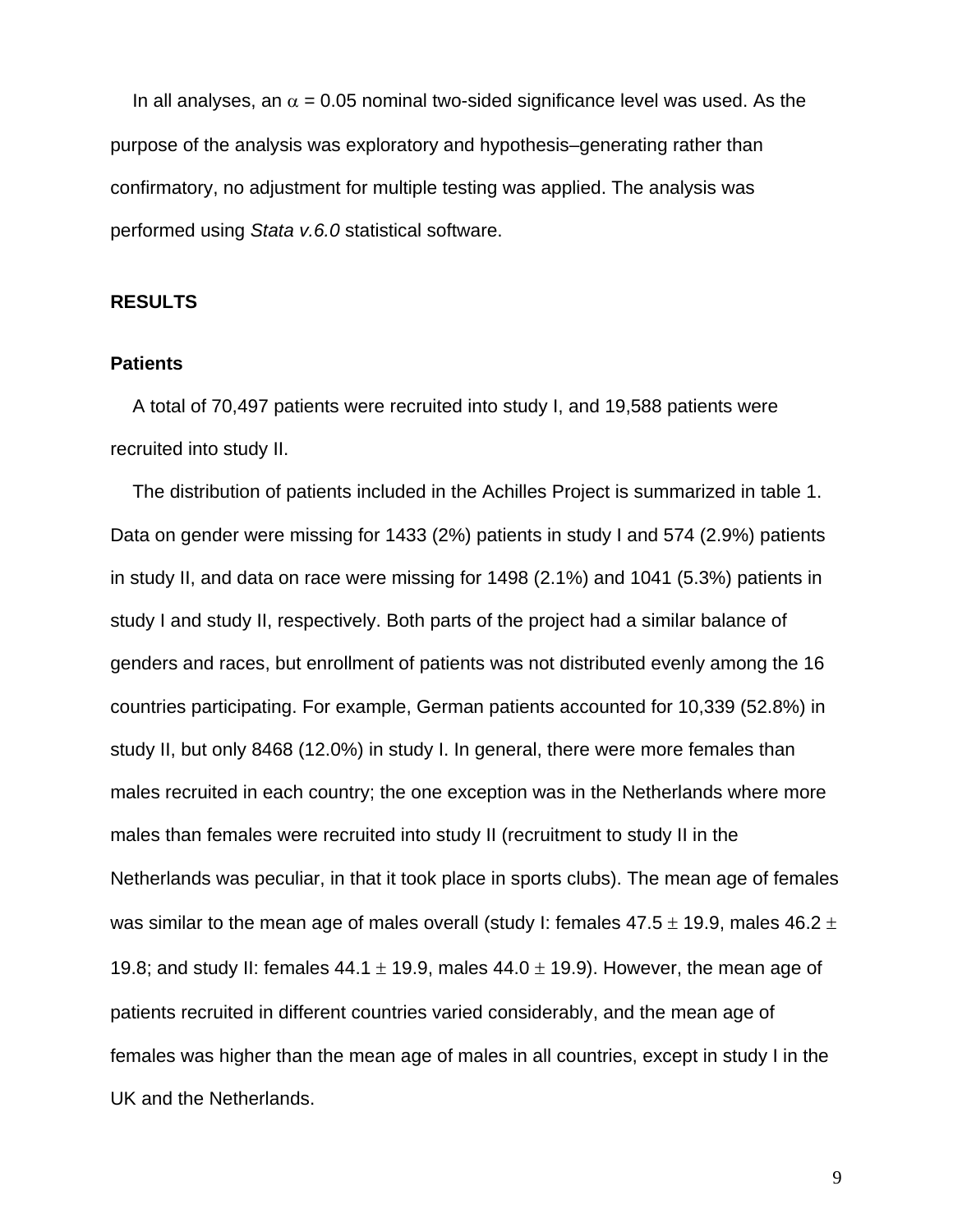In all analyses, an  $\alpha$  = 0.05 nominal two-sided significance level was used. As the purpose of the analysis was exploratory and hypothesis–generating rather than confirmatory, no adjustment for multiple testing was applied. The analysis was performed using *Stata v.6.0* statistical software.

## **RESULTS**

## **Patients**

A total of 70,497 patients were recruited into study I, and 19,588 patients were recruited into study II.

The distribution of patients included in the Achilles Project is summarized in table 1. Data on gender were missing for 1433 (2%) patients in study I and 574 (2.9%) patients in study II, and data on race were missing for 1498 (2.1%) and 1041 (5.3%) patients in study I and study II, respectively. Both parts of the project had a similar balance of genders and races, but enrollment of patients was not distributed evenly among the 16 countries participating. For example, German patients accounted for 10,339 (52.8%) in study II, but only 8468 (12.0%) in study I. In general, there were more females than males recruited in each country; the one exception was in the Netherlands where more males than females were recruited into study II (recruitment to study II in the Netherlands was peculiar, in that it took place in sports clubs). The mean age of females was similar to the mean age of males overall (study I: females  $47.5 \pm 19.9$ , males  $46.2 \pm 19.9$ 19.8; and study II: females  $44.1 \pm 19.9$ , males  $44.0 \pm 19.9$ ). However, the mean age of patients recruited in different countries varied considerably, and the mean age of females was higher than the mean age of males in all countries, except in study I in the UK and the Netherlands.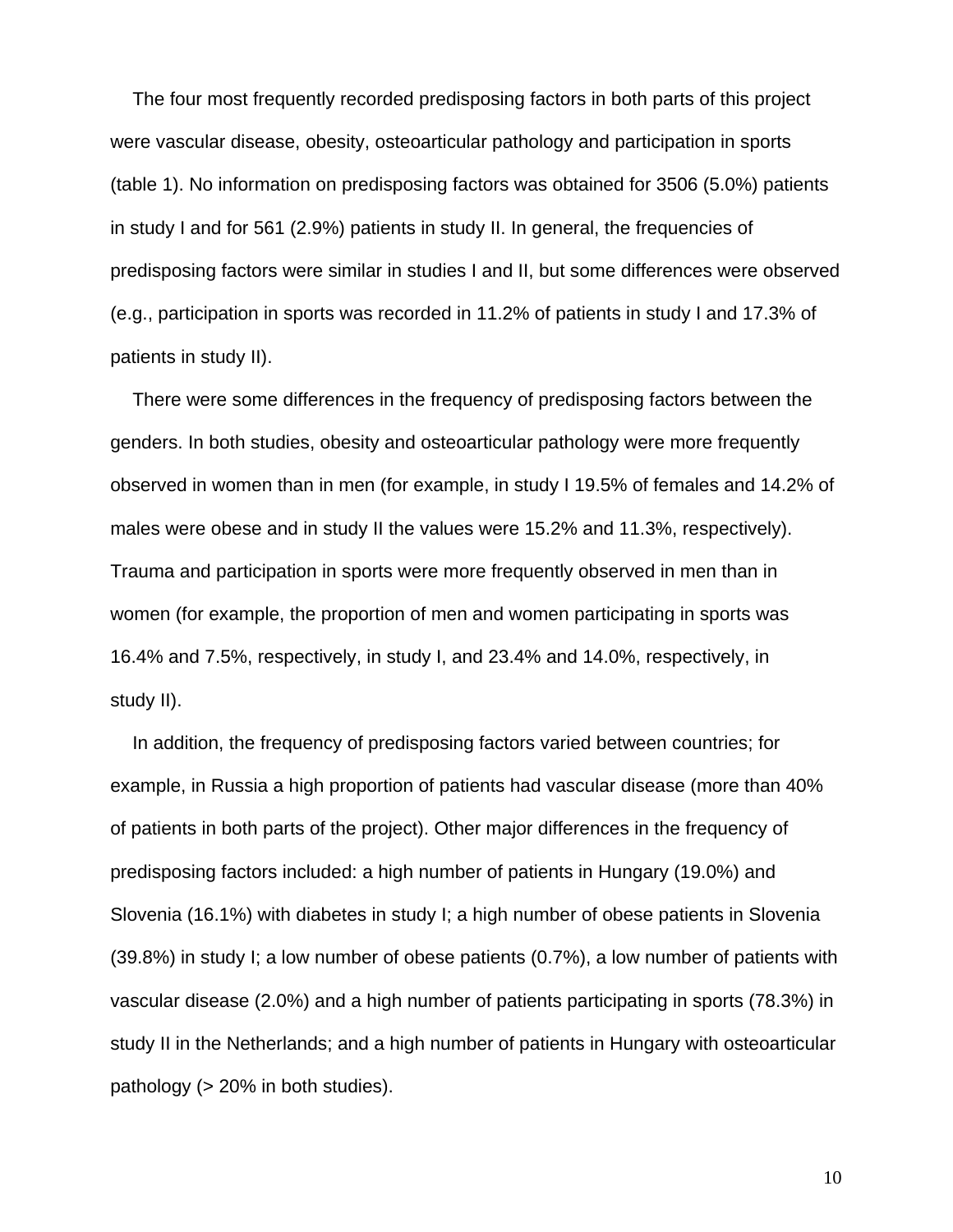The four most frequently recorded predisposing factors in both parts of this project were vascular disease, obesity, osteoarticular pathology and participation in sports (table 1). No information on predisposing factors was obtained for 3506 (5.0%) patients in study I and for 561 (2.9%) patients in study II. In general, the frequencies of predisposing factors were similar in studies I and II, but some differences were observed (e.g., participation in sports was recorded in 11.2% of patients in study I and 17.3% of patients in study II).

There were some differences in the frequency of predisposing factors between the genders. In both studies, obesity and osteoarticular pathology were more frequently observed in women than in men (for example, in study I 19.5% of females and 14.2% of males were obese and in study II the values were 15.2% and 11.3%, respectively). Trauma and participation in sports were more frequently observed in men than in women (for example, the proportion of men and women participating in sports was 16.4% and 7.5%, respectively, in study I, and 23.4% and 14.0%, respectively, in study II).

In addition, the frequency of predisposing factors varied between countries; for example, in Russia a high proportion of patients had vascular disease (more than 40% of patients in both parts of the project). Other major differences in the frequency of predisposing factors included: a high number of patients in Hungary (19.0%) and Slovenia (16.1%) with diabetes in study I; a high number of obese patients in Slovenia (39.8%) in study I; a low number of obese patients (0.7%), a low number of patients with vascular disease (2.0%) and a high number of patients participating in sports (78.3%) in study II in the Netherlands; and a high number of patients in Hungary with osteoarticular pathology (> 20% in both studies).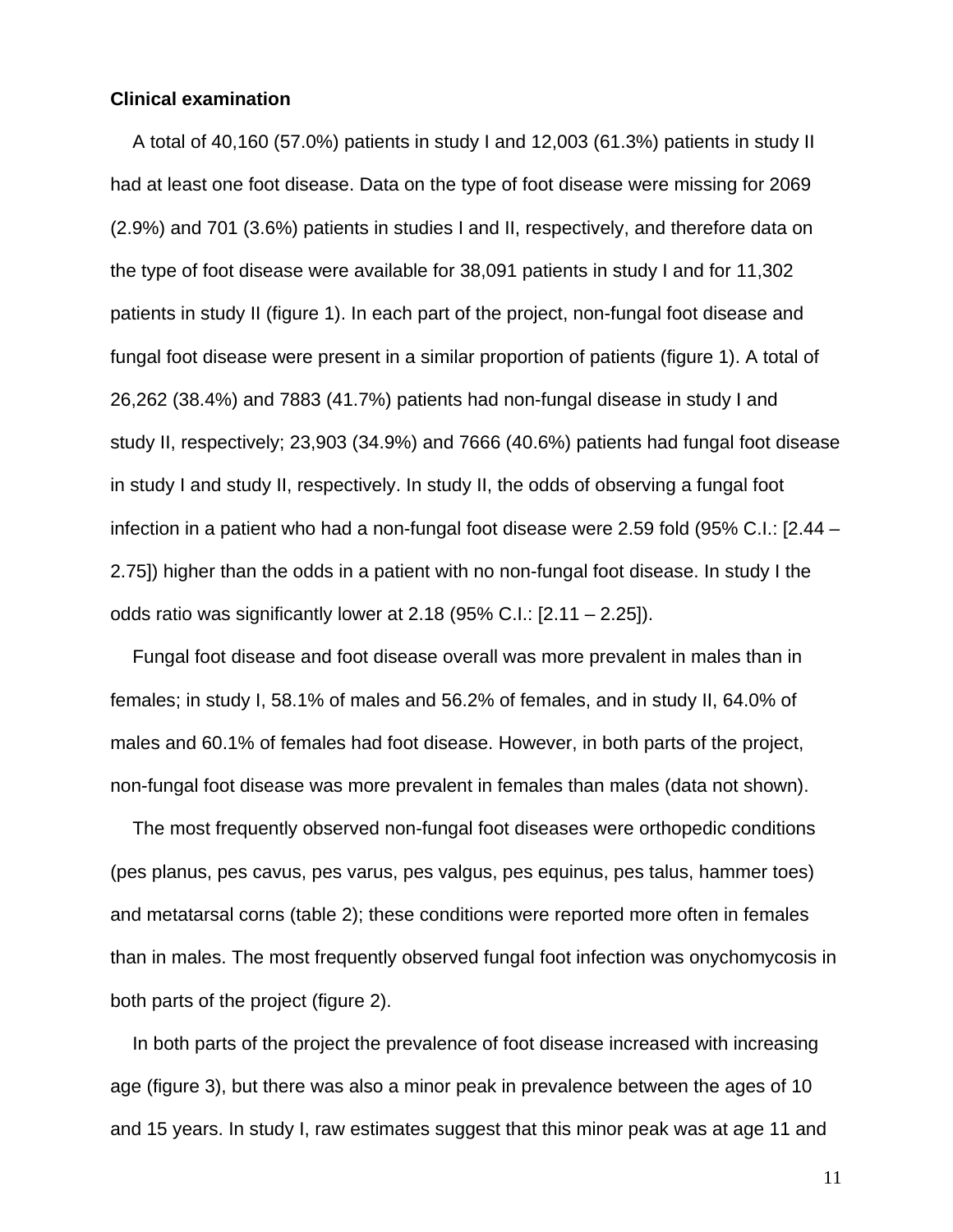## **Clinical examination**

A total of 40,160 (57.0%) patients in study I and 12,003 (61.3%) patients in study II had at least one foot disease. Data on the type of foot disease were missing for 2069 (2.9%) and 701 (3.6%) patients in studies I and II, respectively, and therefore data on the type of foot disease were available for 38,091 patients in study I and for 11,302 patients in study II (figure 1). In each part of the project, non-fungal foot disease and fungal foot disease were present in a similar proportion of patients (figure 1). A total of 26,262 (38.4%) and 7883 (41.7%) patients had non-fungal disease in study I and study II, respectively; 23,903 (34.9%) and 7666 (40.6%) patients had fungal foot disease in study I and study II, respectively. In study II, the odds of observing a fungal foot infection in a patient who had a non-fungal foot disease were 2.59 fold (95% C.I.: [2.44 – 2.75]) higher than the odds in a patient with no non-fungal foot disease. In study I the odds ratio was significantly lower at 2.18 (95% C.I.: [2.11 – 2.25]).

Fungal foot disease and foot disease overall was more prevalent in males than in females; in study I, 58.1% of males and 56.2% of females, and in study II, 64.0% of males and 60.1% of females had foot disease. However, in both parts of the project, non-fungal foot disease was more prevalent in females than males (data not shown).

The most frequently observed non-fungal foot diseases were orthopedic conditions (pes planus, pes cavus, pes varus, pes valgus, pes equinus, pes talus, hammer toes) and metatarsal corns (table 2); these conditions were reported more often in females than in males. The most frequently observed fungal foot infection was onychomycosis in both parts of the project (figure 2).

In both parts of the project the prevalence of foot disease increased with increasing age (figure 3), but there was also a minor peak in prevalence between the ages of 10 and 15 years. In study I, raw estimates suggest that this minor peak was at age 11 and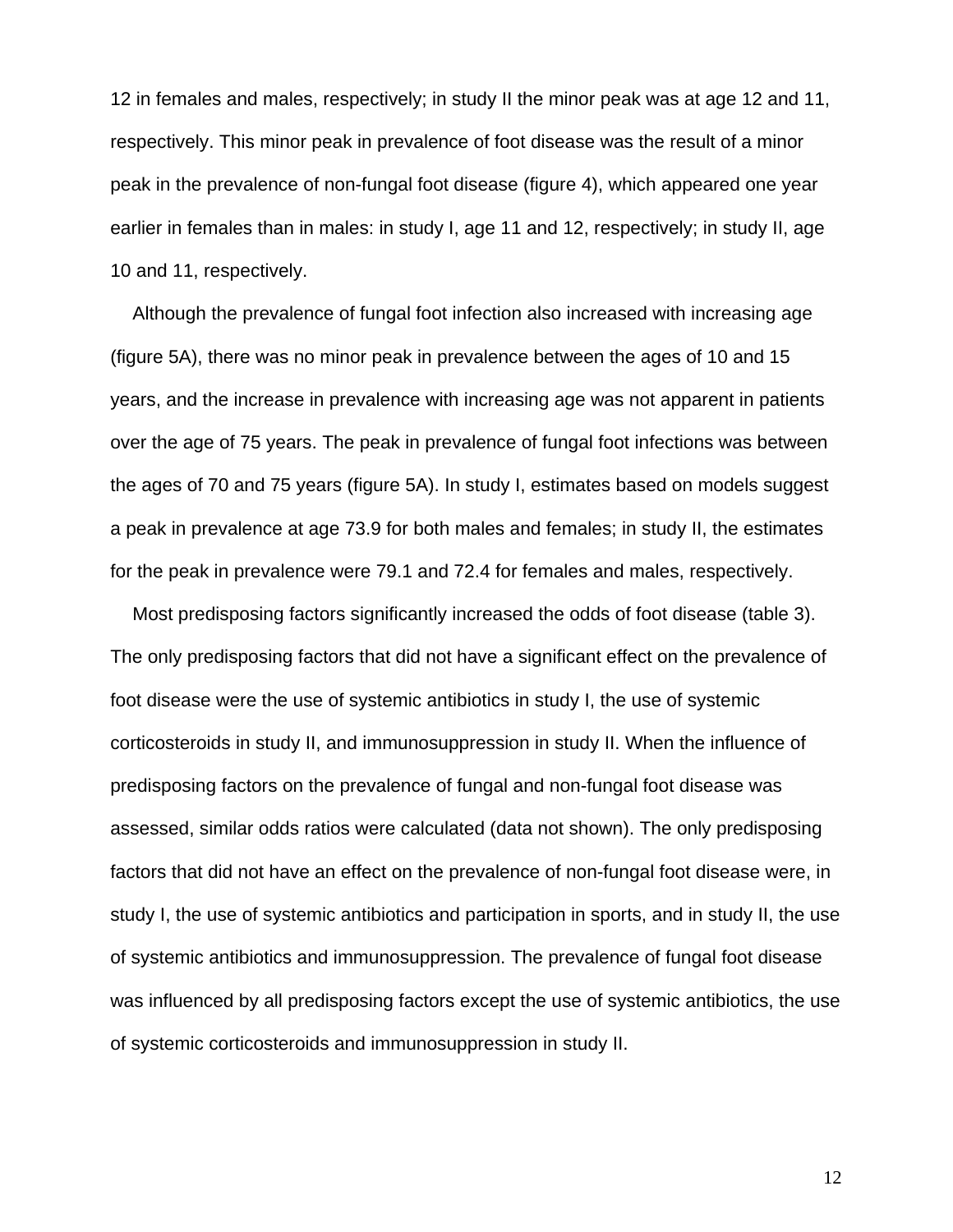12 in females and males, respectively; in study II the minor peak was at age 12 and 11, respectively. This minor peak in prevalence of foot disease was the result of a minor peak in the prevalence of non-fungal foot disease (figure 4), which appeared one year earlier in females than in males: in study I, age 11 and 12, respectively; in study II, age 10 and 11, respectively.

Although the prevalence of fungal foot infection also increased with increasing age (figure 5A), there was no minor peak in prevalence between the ages of 10 and 15 years, and the increase in prevalence with increasing age was not apparent in patients over the age of 75 years. The peak in prevalence of fungal foot infections was between the ages of 70 and 75 years (figure 5A). In study I, estimates based on models suggest a peak in prevalence at age 73.9 for both males and females; in study II, the estimates for the peak in prevalence were 79.1 and 72.4 for females and males, respectively.

Most predisposing factors significantly increased the odds of foot disease (table 3). The only predisposing factors that did not have a significant effect on the prevalence of foot disease were the use of systemic antibiotics in study I, the use of systemic corticosteroids in study II, and immunosuppression in study II. When the influence of predisposing factors on the prevalence of fungal and non-fungal foot disease was assessed, similar odds ratios were calculated (data not shown). The only predisposing factors that did not have an effect on the prevalence of non-fungal foot disease were, in study I, the use of systemic antibiotics and participation in sports, and in study II, the use of systemic antibiotics and immunosuppression. The prevalence of fungal foot disease was influenced by all predisposing factors except the use of systemic antibiotics, the use of systemic corticosteroids and immunosuppression in study II.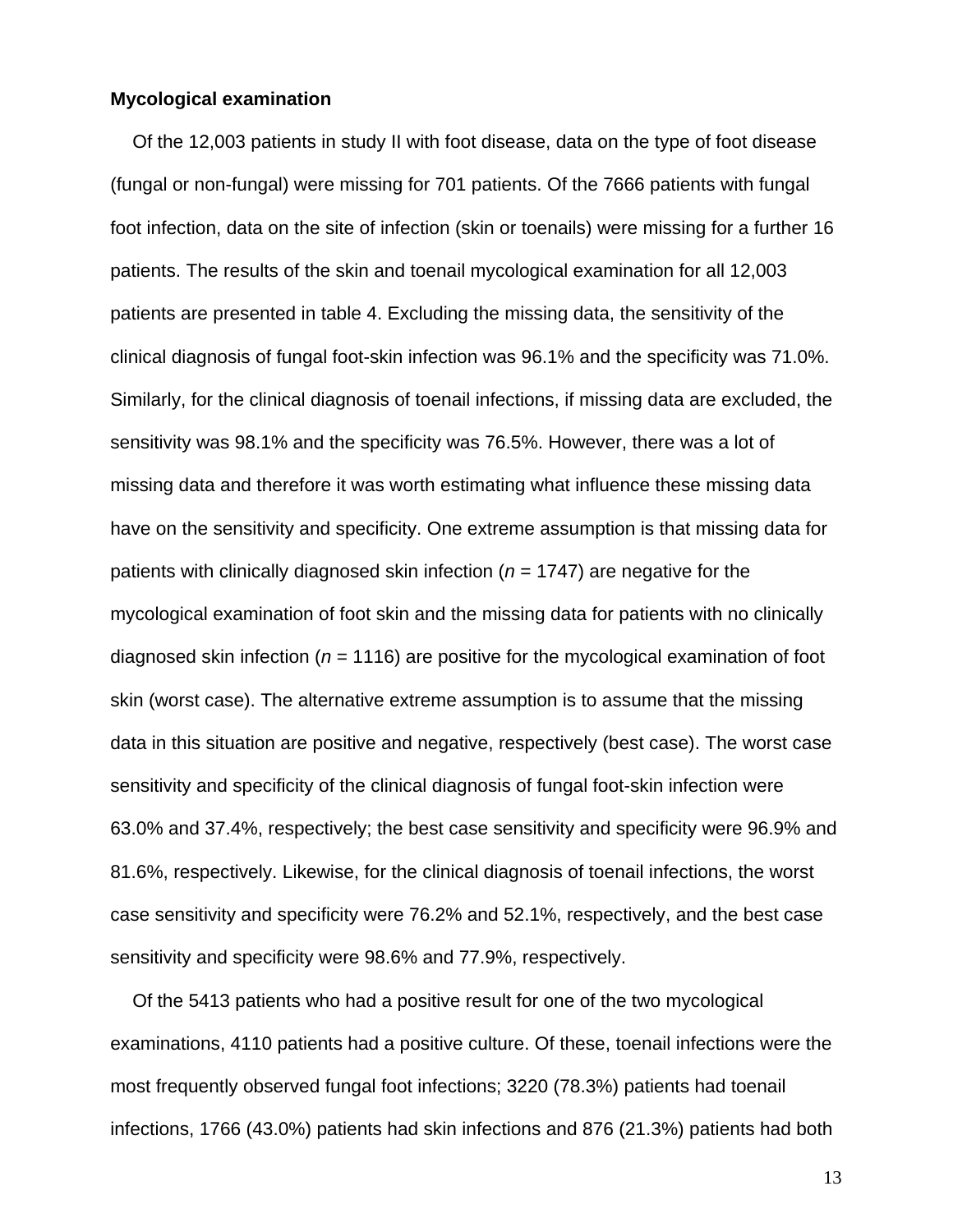#### **Mycological examination**

Of the 12,003 patients in study II with foot disease, data on the type of foot disease (fungal or non-fungal) were missing for 701 patients. Of the 7666 patients with fungal foot infection, data on the site of infection (skin or toenails) were missing for a further 16 patients. The results of the skin and toenail mycological examination for all 12,003 patients are presented in table 4. Excluding the missing data, the sensitivity of the clinical diagnosis of fungal foot-skin infection was 96.1% and the specificity was 71.0%. Similarly, for the clinical diagnosis of toenail infections, if missing data are excluded, the sensitivity was 98.1% and the specificity was 76.5%. However, there was a lot of missing data and therefore it was worth estimating what influence these missing data have on the sensitivity and specificity. One extreme assumption is that missing data for patients with clinically diagnosed skin infection (*n* = 1747) are negative for the mycological examination of foot skin and the missing data for patients with no clinically diagnosed skin infection (*n* = 1116) are positive for the mycological examination of foot skin (worst case). The alternative extreme assumption is to assume that the missing data in this situation are positive and negative, respectively (best case). The worst case sensitivity and specificity of the clinical diagnosis of fungal foot-skin infection were 63.0% and 37.4%, respectively; the best case sensitivity and specificity were 96.9% and 81.6%, respectively. Likewise, for the clinical diagnosis of toenail infections, the worst case sensitivity and specificity were 76.2% and 52.1%, respectively, and the best case sensitivity and specificity were 98.6% and 77.9%, respectively.

Of the 5413 patients who had a positive result for one of the two mycological examinations, 4110 patients had a positive culture. Of these, toenail infections were the most frequently observed fungal foot infections; 3220 (78.3%) patients had toenail infections, 1766 (43.0%) patients had skin infections and 876 (21.3%) patients had both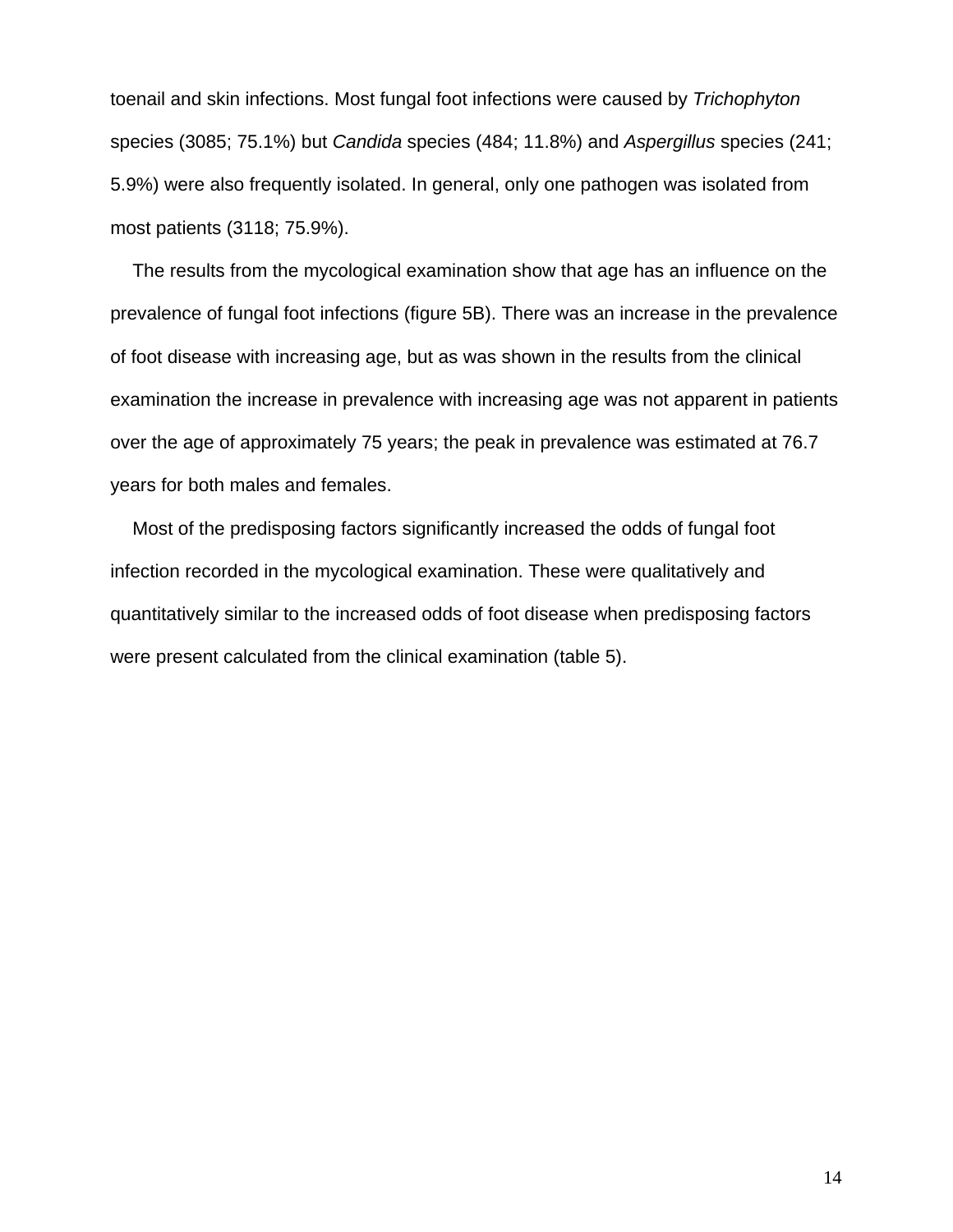toenail and skin infections. Most fungal foot infections were caused by *Trichophyton* species (3085; 75.1%) but *Candida* species (484; 11.8%) and *Aspergillus* species (241; 5.9%) were also frequently isolated. In general, only one pathogen was isolated from most patients (3118; 75.9%).

The results from the mycological examination show that age has an influence on the prevalence of fungal foot infections (figure 5B). There was an increase in the prevalence of foot disease with increasing age, but as was shown in the results from the clinical examination the increase in prevalence with increasing age was not apparent in patients over the age of approximately 75 years; the peak in prevalence was estimated at 76.7 years for both males and females.

Most of the predisposing factors significantly increased the odds of fungal foot infection recorded in the mycological examination. These were qualitatively and quantitatively similar to the increased odds of foot disease when predisposing factors were present calculated from the clinical examination (table 5).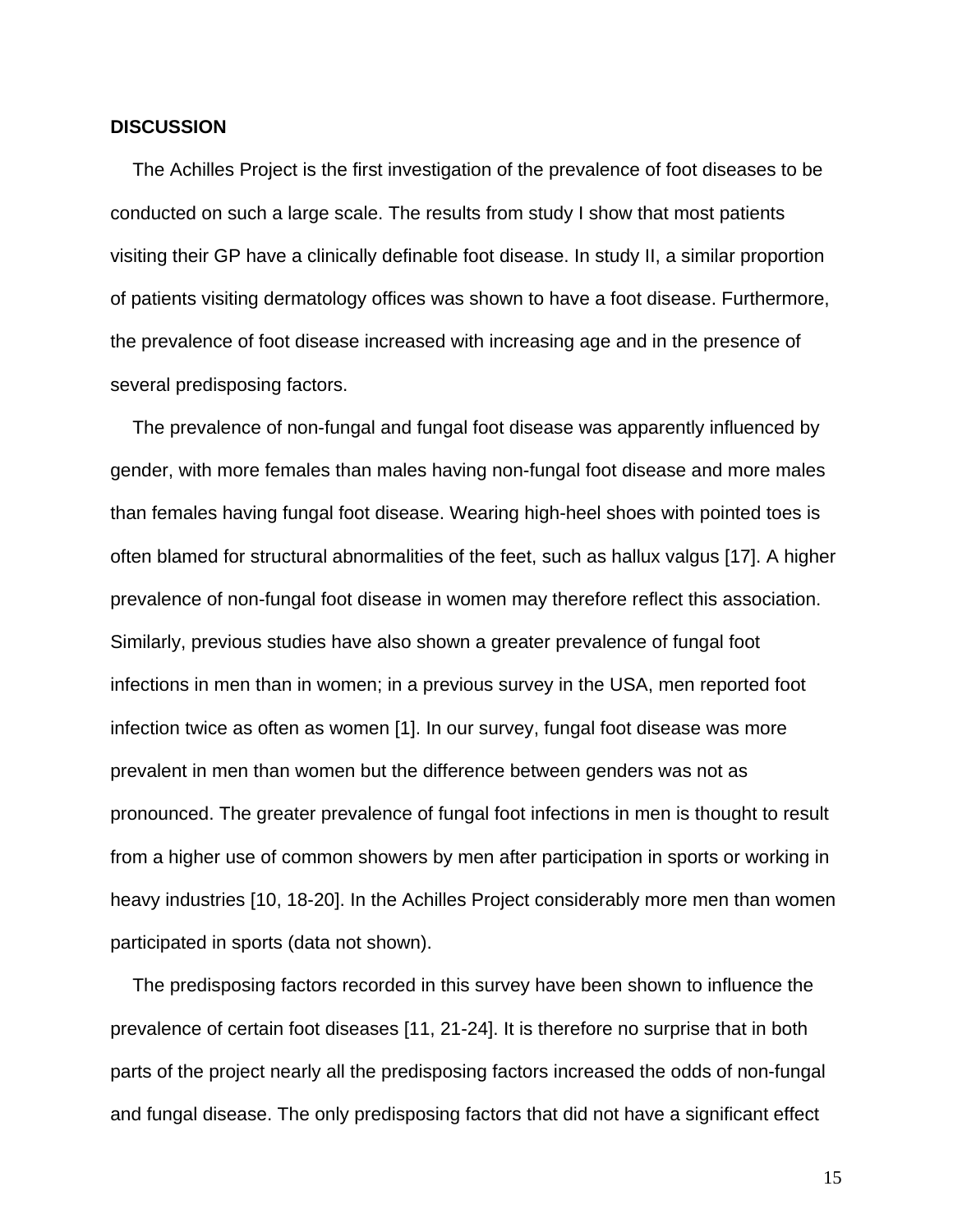#### **DISCUSSION**

The Achilles Project is the first investigation of the prevalence of foot diseases to be conducted on such a large scale. The results from study I show that most patients visiting their GP have a clinically definable foot disease. In study II, a similar proportion of patients visiting dermatology offices was shown to have a foot disease. Furthermore, the prevalence of foot disease increased with increasing age and in the presence of several predisposing factors.

The prevalence of non-fungal and fungal foot disease was apparently influenced by gender, with more females than males having non-fungal foot disease and more males than females having fungal foot disease. Wearing high-heel shoes with pointed toes is often blamed for structural abnormalities of the feet, such as hallux valgus [17]. A higher prevalence of non-fungal foot disease in women may therefore reflect this association. Similarly, previous studies have also shown a greater prevalence of fungal foot infections in men than in women; in a previous survey in the USA, men reported foot infection twice as often as women [1]. In our survey, fungal foot disease was more prevalent in men than women but the difference between genders was not as pronounced. The greater prevalence of fungal foot infections in men is thought to result from a higher use of common showers by men after participation in sports or working in heavy industries [10, 18-20]. In the Achilles Project considerably more men than women participated in sports (data not shown).

The predisposing factors recorded in this survey have been shown to influence the prevalence of certain foot diseases [11, 21-24]. It is therefore no surprise that in both parts of the project nearly all the predisposing factors increased the odds of non-fungal and fungal disease. The only predisposing factors that did not have a significant effect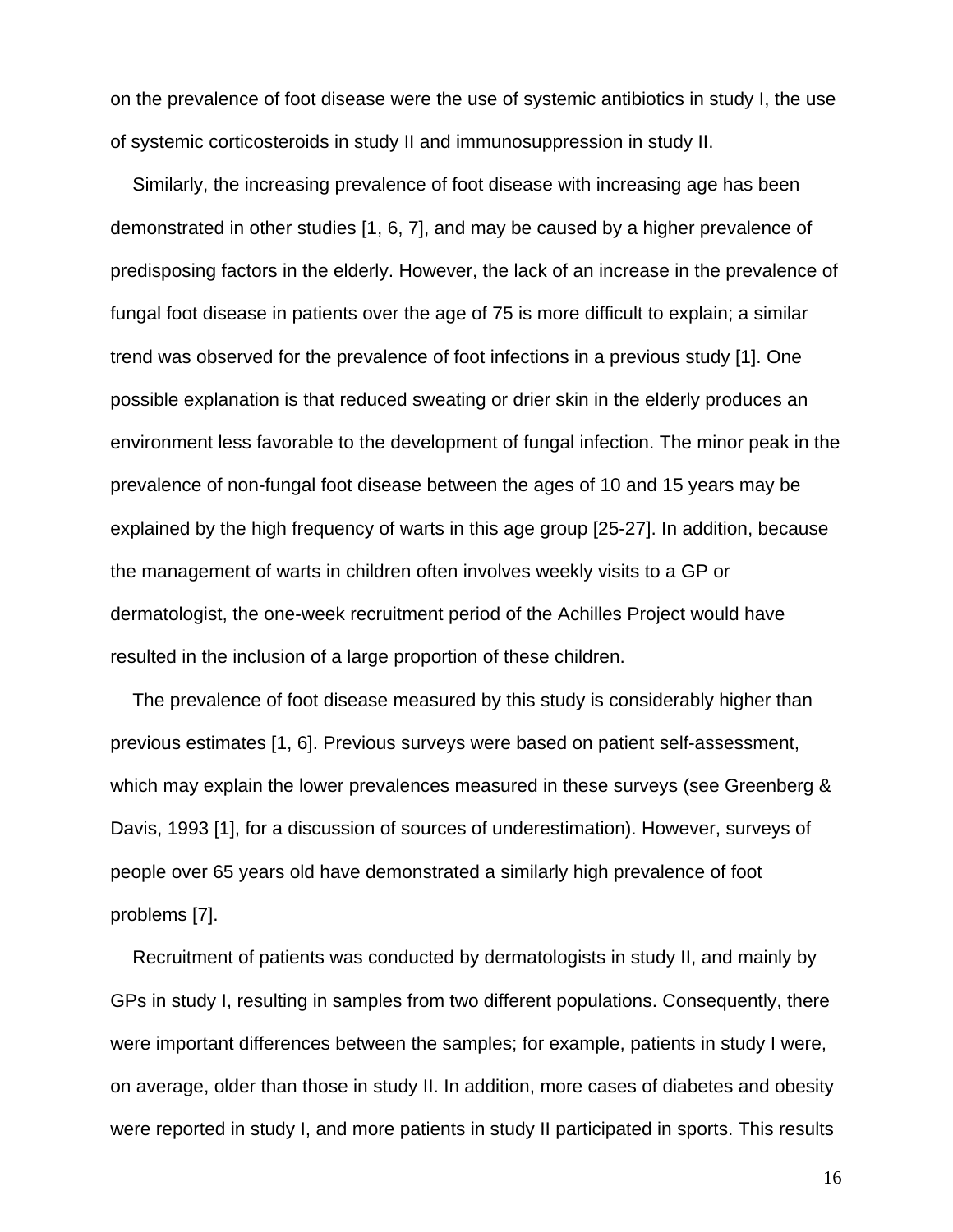on the prevalence of foot disease were the use of systemic antibiotics in study I, the use of systemic corticosteroids in study II and immunosuppression in study II.

Similarly, the increasing prevalence of foot disease with increasing age has been demonstrated in other studies [1, 6, 7], and may be caused by a higher prevalence of predisposing factors in the elderly. However, the lack of an increase in the prevalence of fungal foot disease in patients over the age of 75 is more difficult to explain; a similar trend was observed for the prevalence of foot infections in a previous study [1]. One possible explanation is that reduced sweating or drier skin in the elderly produces an environment less favorable to the development of fungal infection. The minor peak in the prevalence of non-fungal foot disease between the ages of 10 and 15 years may be explained by the high frequency of warts in this age group [25-27]. In addition, because the management of warts in children often involves weekly visits to a GP or dermatologist, the one-week recruitment period of the Achilles Project would have resulted in the inclusion of a large proportion of these children.

The prevalence of foot disease measured by this study is considerably higher than previous estimates [1, 6]. Previous surveys were based on patient self-assessment, which may explain the lower prevalences measured in these surveys (see Greenberg & Davis, 1993 [1], for a discussion of sources of underestimation). However, surveys of people over 65 years old have demonstrated a similarly high prevalence of foot problems [7].

Recruitment of patients was conducted by dermatologists in study II, and mainly by GPs in study I, resulting in samples from two different populations. Consequently, there were important differences between the samples; for example, patients in study I were, on average, older than those in study II. In addition, more cases of diabetes and obesity were reported in study I, and more patients in study II participated in sports. This results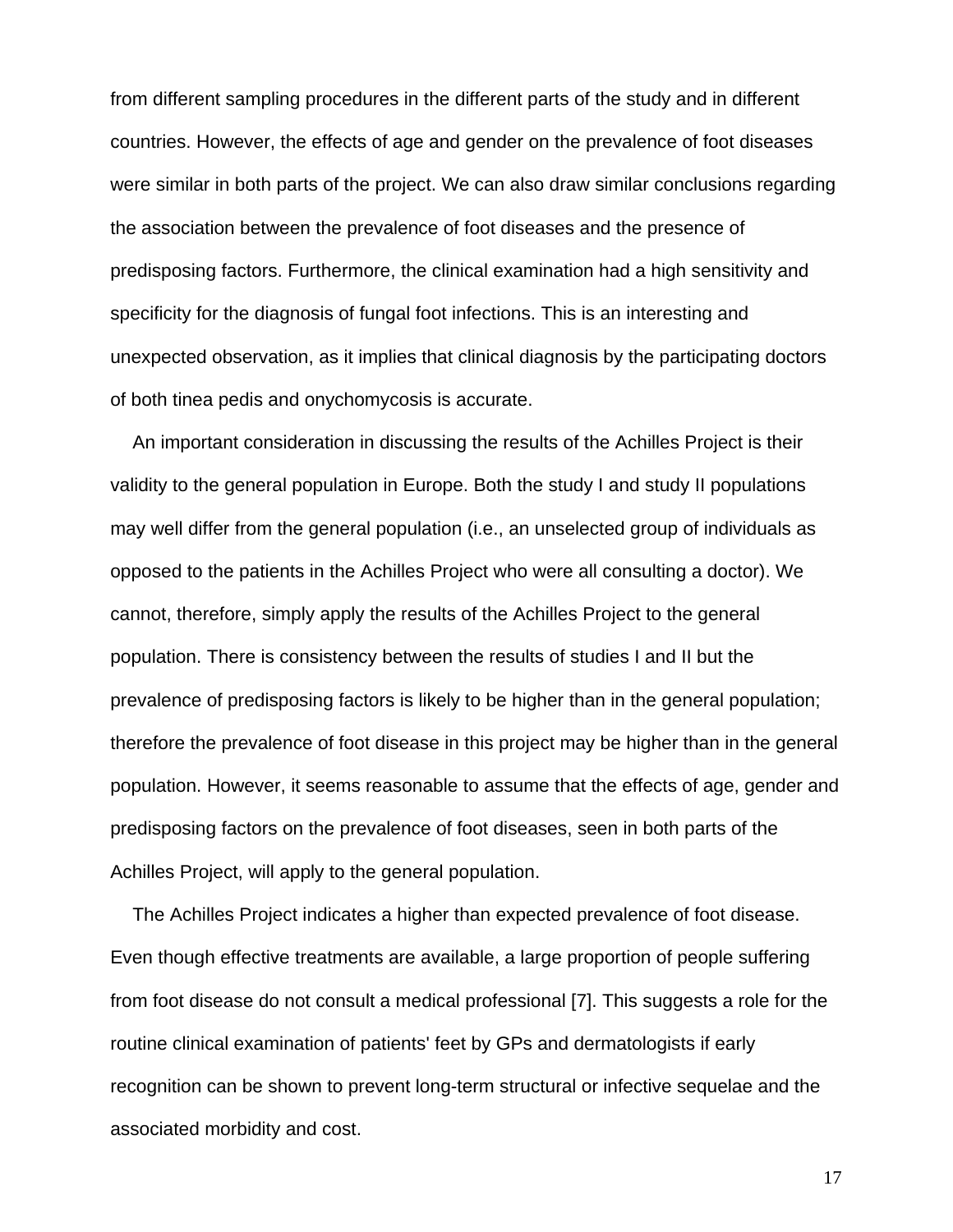from different sampling procedures in the different parts of the study and in different countries. However, the effects of age and gender on the prevalence of foot diseases were similar in both parts of the project. We can also draw similar conclusions regarding the association between the prevalence of foot diseases and the presence of predisposing factors. Furthermore, the clinical examination had a high sensitivity and specificity for the diagnosis of fungal foot infections. This is an interesting and unexpected observation, as it implies that clinical diagnosis by the participating doctors of both tinea pedis and onychomycosis is accurate.

An important consideration in discussing the results of the Achilles Project is their validity to the general population in Europe. Both the study I and study II populations may well differ from the general population (i.e., an unselected group of individuals as opposed to the patients in the Achilles Project who were all consulting a doctor). We cannot, therefore, simply apply the results of the Achilles Project to the general population. There is consistency between the results of studies I and II but the prevalence of predisposing factors is likely to be higher than in the general population; therefore the prevalence of foot disease in this project may be higher than in the general population. However, it seems reasonable to assume that the effects of age, gender and predisposing factors on the prevalence of foot diseases, seen in both parts of the Achilles Project, will apply to the general population.

The Achilles Project indicates a higher than expected prevalence of foot disease. Even though effective treatments are available, a large proportion of people suffering from foot disease do not consult a medical professional [7]. This suggests a role for the routine clinical examination of patients' feet by GPs and dermatologists if early recognition can be shown to prevent long-term structural or infective sequelae and the associated morbidity and cost.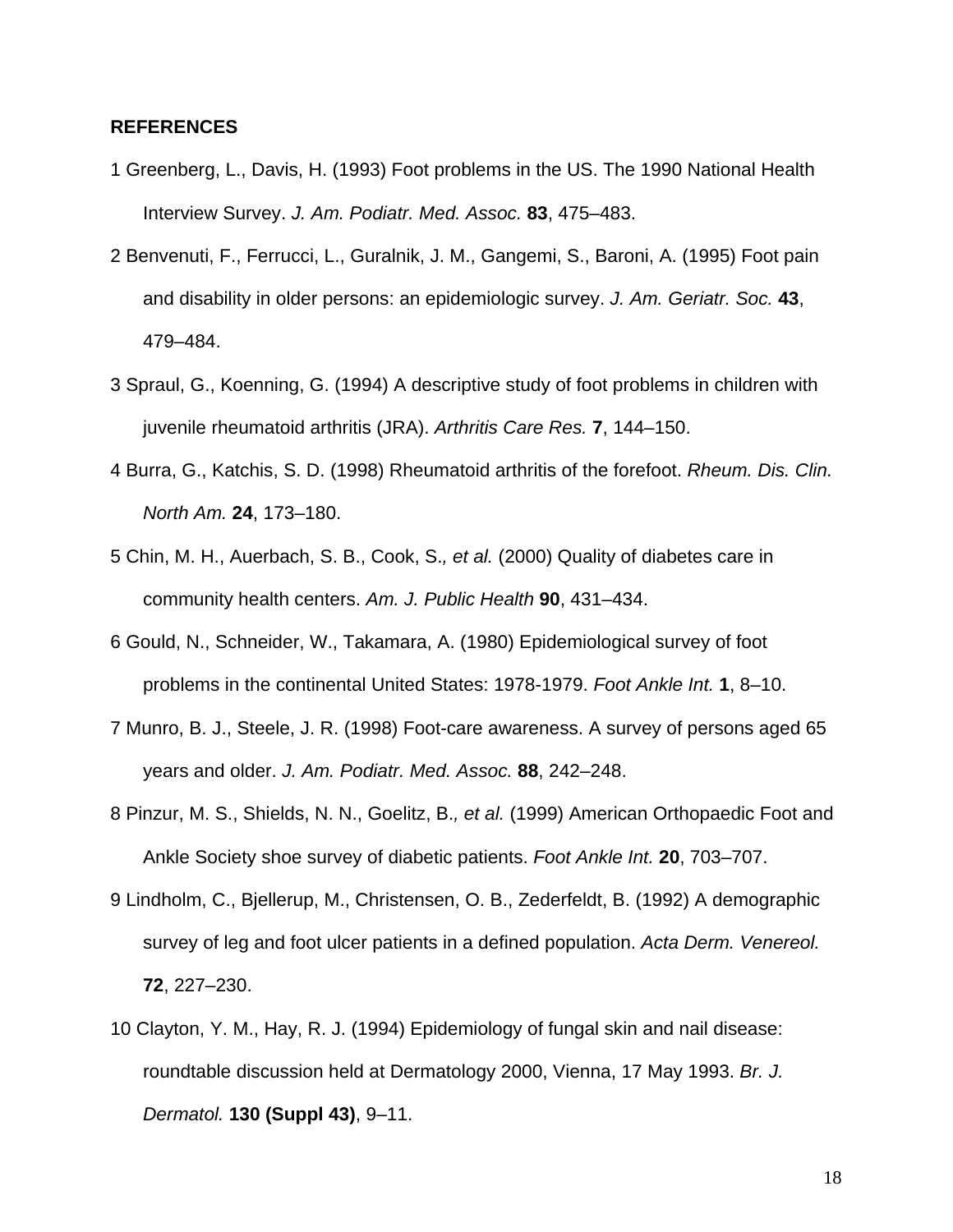### **REFERENCES**

- 1 Greenberg, L., Davis, H. (1993) Foot problems in the US. The 1990 National Health Interview Survey. *J. Am. Podiatr. Med. Assoc.* **83**, 475–483.
- 2 Benvenuti, F., Ferrucci, L., Guralnik, J. M., Gangemi, S., Baroni, A. (1995) Foot pain and disability in older persons: an epidemiologic survey. *J. Am. Geriatr. Soc.* **43**, 479–484.
- 3 Spraul, G., Koenning, G. (1994) A descriptive study of foot problems in children with juvenile rheumatoid arthritis (JRA). *Arthritis Care Res.* **7**, 144–150.
- 4 Burra, G., Katchis, S. D. (1998) Rheumatoid arthritis of the forefoot. *Rheum. Dis. Clin. North Am.* **24**, 173–180.
- 5 Chin, M. H., Auerbach, S. B., Cook, S.*, et al.* (2000) Quality of diabetes care in community health centers. *Am. J. Public Health* **90**, 431–434.
- 6 Gould, N., Schneider, W., Takamara, A. (1980) Epidemiological survey of foot problems in the continental United States: 1978-1979. *Foot Ankle Int.* **1**, 8–10.
- 7 Munro, B. J., Steele, J. R. (1998) Foot-care awareness. A survey of persons aged 65 years and older. *J. Am. Podiatr. Med. Assoc.* **88**, 242–248.
- 8 Pinzur, M. S., Shields, N. N., Goelitz, B.*, et al.* (1999) American Orthopaedic Foot and Ankle Society shoe survey of diabetic patients. *Foot Ankle Int.* **20**, 703–707.
- 9 Lindholm, C., Bjellerup, M., Christensen, O. B., Zederfeldt, B. (1992) A demographic survey of leg and foot ulcer patients in a defined population. *Acta Derm. Venereol.*  **72**, 227–230.
- 10 Clayton, Y. M., Hay, R. J. (1994) Epidemiology of fungal skin and nail disease: roundtable discussion held at Dermatology 2000, Vienna, 17 May 1993. *Br. J. Dermatol.* **130 (Suppl 43)**, 9–11.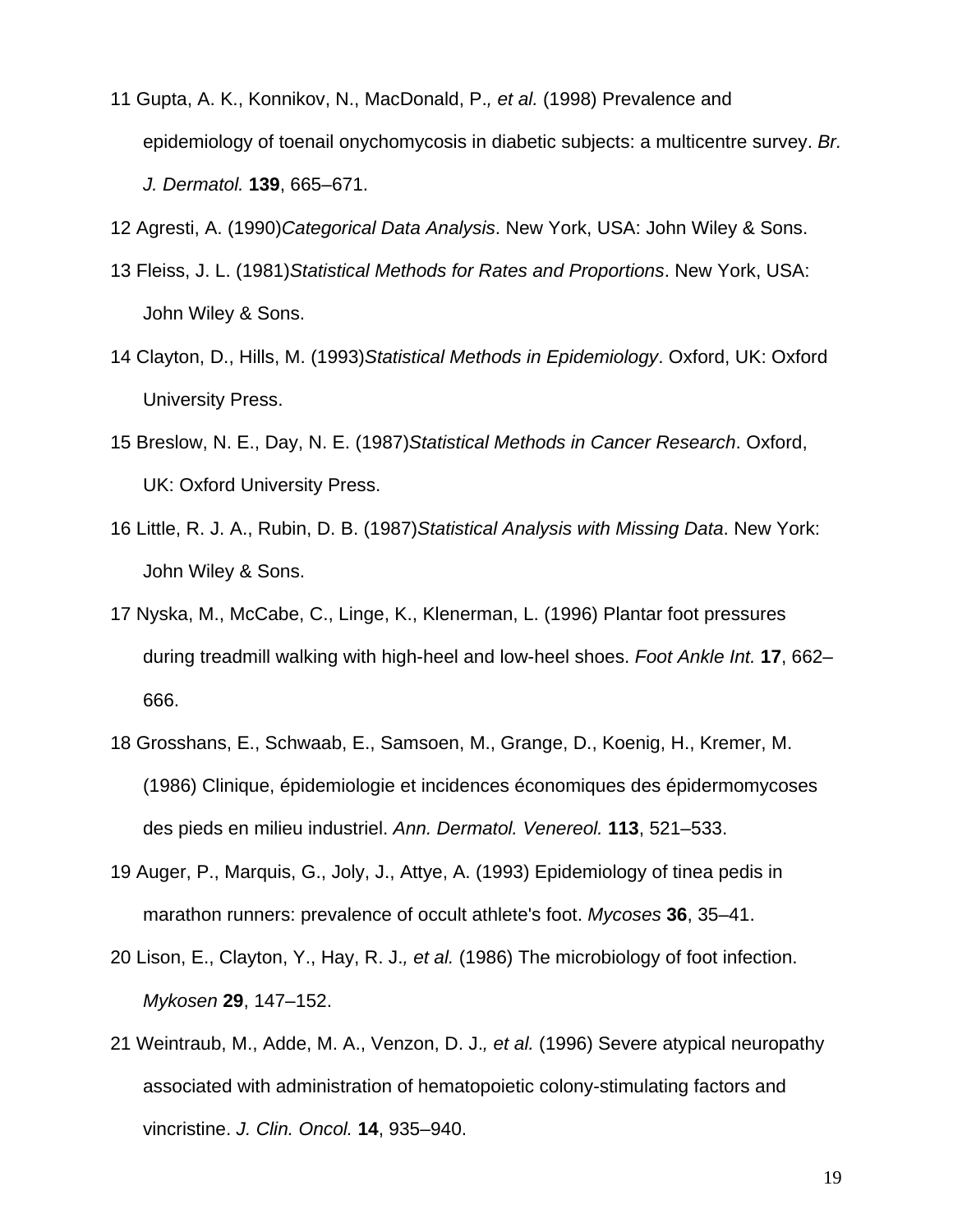- 11 Gupta, A. K., Konnikov, N., MacDonald, P.*, et al.* (1998) Prevalence and epidemiology of toenail onychomycosis in diabetic subjects: a multicentre survey. *Br. J. Dermatol.* **139**, 665–671.
- 12 Agresti, A. (1990)*Categorical Data Analysis*. New York, USA: John Wiley & Sons.
- 13 Fleiss, J. L. (1981)*Statistical Methods for Rates and Proportions*. New York, USA: John Wiley & Sons.
- 14 Clayton, D., Hills, M. (1993)*Statistical Methods in Epidemiology*. Oxford, UK: Oxford University Press.
- 15 Breslow, N. E., Day, N. E. (1987)*Statistical Methods in Cancer Research*. Oxford, UK: Oxford University Press.
- 16 Little, R. J. A., Rubin, D. B. (1987)*Statistical Analysis with Missing Data*. New York: John Wiley & Sons.
- 17 Nyska, M., McCabe, C., Linge, K., Klenerman, L. (1996) Plantar foot pressures during treadmill walking with high-heel and low-heel shoes. *Foot Ankle Int.* **17**, 662– 666.
- 18 Grosshans, E., Schwaab, E., Samsoen, M., Grange, D., Koenig, H., Kremer, M. (1986) Clinique, épidemiologie et incidences économiques des épidermomycoses des pieds en milieu industriel. *Ann. Dermatol. Venereol.* **113**, 521–533.
- 19 Auger, P., Marquis, G., Joly, J., Attye, A. (1993) Epidemiology of tinea pedis in marathon runners: prevalence of occult athlete's foot. *Mycoses* **36**, 35–41.
- 20 Lison, E., Clayton, Y., Hay, R. J.*, et al.* (1986) The microbiology of foot infection. *Mykosen* **29**, 147–152.
- 21 Weintraub, M., Adde, M. A., Venzon, D. J.*, et al.* (1996) Severe atypical neuropathy associated with administration of hematopoietic colony-stimulating factors and vincristine. *J. Clin. Oncol.* **14**, 935–940.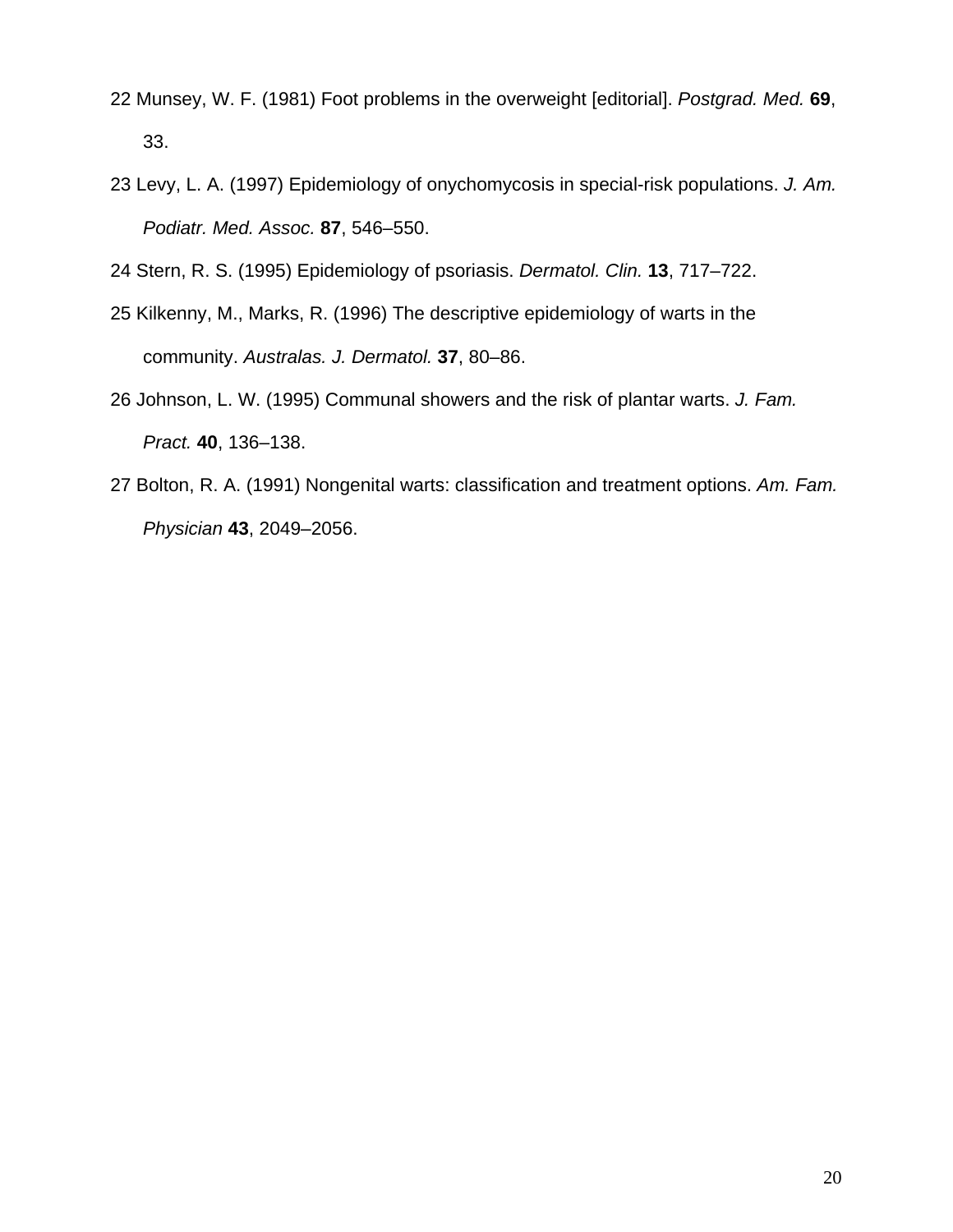- 22 Munsey, W. F. (1981) Foot problems in the overweight [editorial]. *Postgrad. Med.* **69**, 33.
- 23 Levy, L. A. (1997) Epidemiology of onychomycosis in special-risk populations. *J. Am. Podiatr. Med. Assoc.* **87**, 546–550.

24 Stern, R. S. (1995) Epidemiology of psoriasis. *Dermatol. Clin.* **13**, 717–722.

- 25 Kilkenny, M., Marks, R. (1996) The descriptive epidemiology of warts in the community. *Australas. J. Dermatol.* **37**, 80–86.
- 26 Johnson, L. W. (1995) Communal showers and the risk of plantar warts. *J. Fam. Pract.* **40**, 136–138.
- 27 Bolton, R. A. (1991) Nongenital warts: classification and treatment options. *Am. Fam. Physician* **43**, 2049–2056.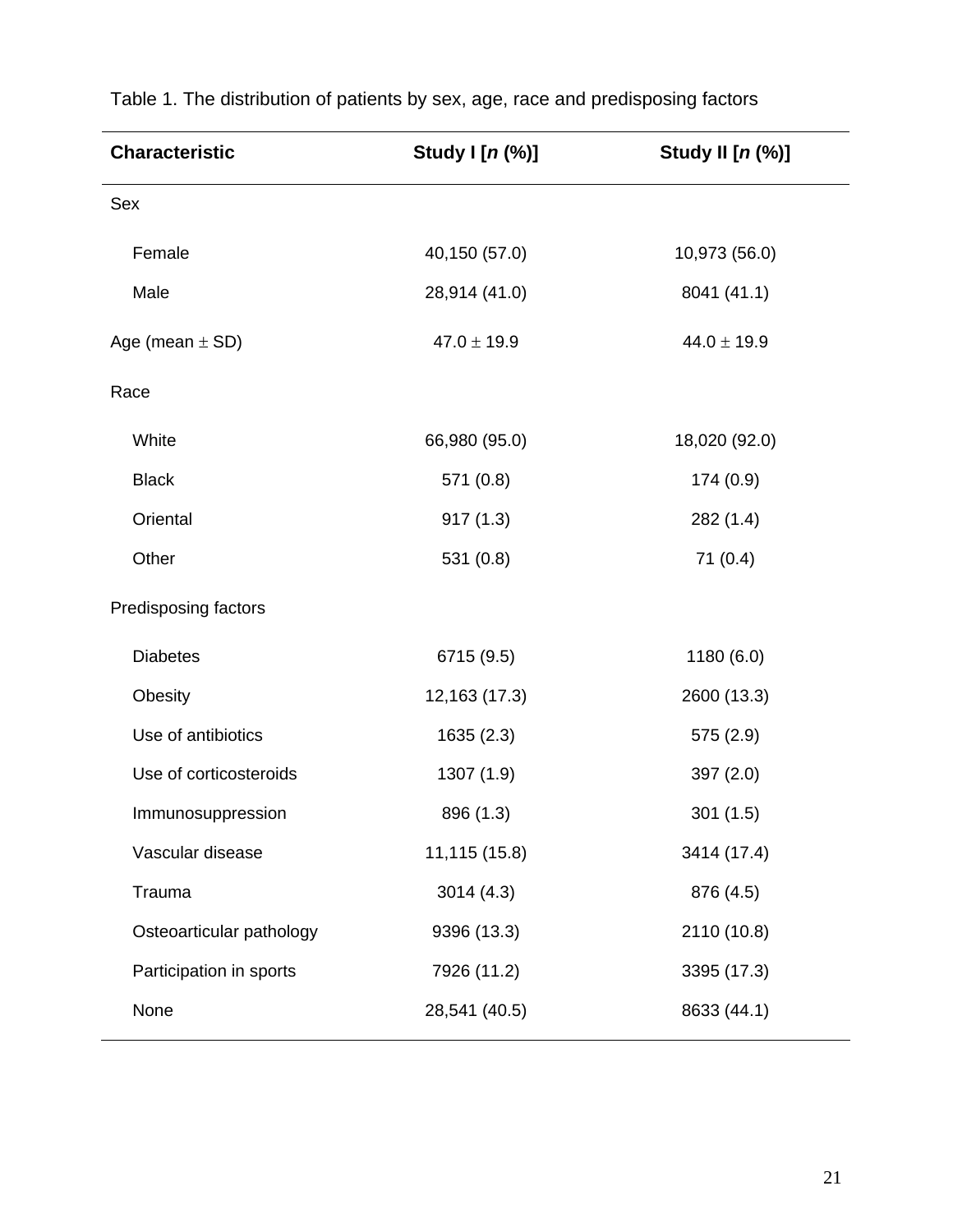| <b>Characteristic</b>    | Study I [n (%)] | Study II [n (%)] |
|--------------------------|-----------------|------------------|
| Sex                      |                 |                  |
| Female                   | 40,150 (57.0)   | 10,973 (56.0)    |
| Male                     | 28,914 (41.0)   | 8041 (41.1)      |
| Age (mean $\pm$ SD)      | $47.0 \pm 19.9$ | $44.0 \pm 19.9$  |
| Race                     |                 |                  |
| White                    | 66,980 (95.0)   | 18,020 (92.0)    |
| <b>Black</b>             | 571 (0.8)       | 174(0.9)         |
| Oriental                 | 917(1.3)        | 282(1.4)         |
| Other                    | 531 (0.8)       | 71(0.4)          |
| Predisposing factors     |                 |                  |
| <b>Diabetes</b>          | 6715 (9.5)      | 1180(6.0)        |
| Obesity                  | 12,163 (17.3)   | 2600 (13.3)      |
| Use of antibiotics       | 1635(2.3)       | 575 (2.9)        |
| Use of corticosteroids   | 1307 (1.9)      | 397(2.0)         |
| Immunosuppression        | 896 (1.3)       | 301(1.5)         |
| Vascular disease         | 11,115 (15.8)   | 3414 (17.4)      |
| Trauma                   | 3014(4.3)       | 876 (4.5)        |
| Osteoarticular pathology | 9396 (13.3)     | 2110 (10.8)      |
| Participation in sports  | 7926 (11.2)     | 3395 (17.3)      |
| None                     | 28,541 (40.5)   | 8633 (44.1)      |

Table 1. The distribution of patients by sex, age, race and predisposing factors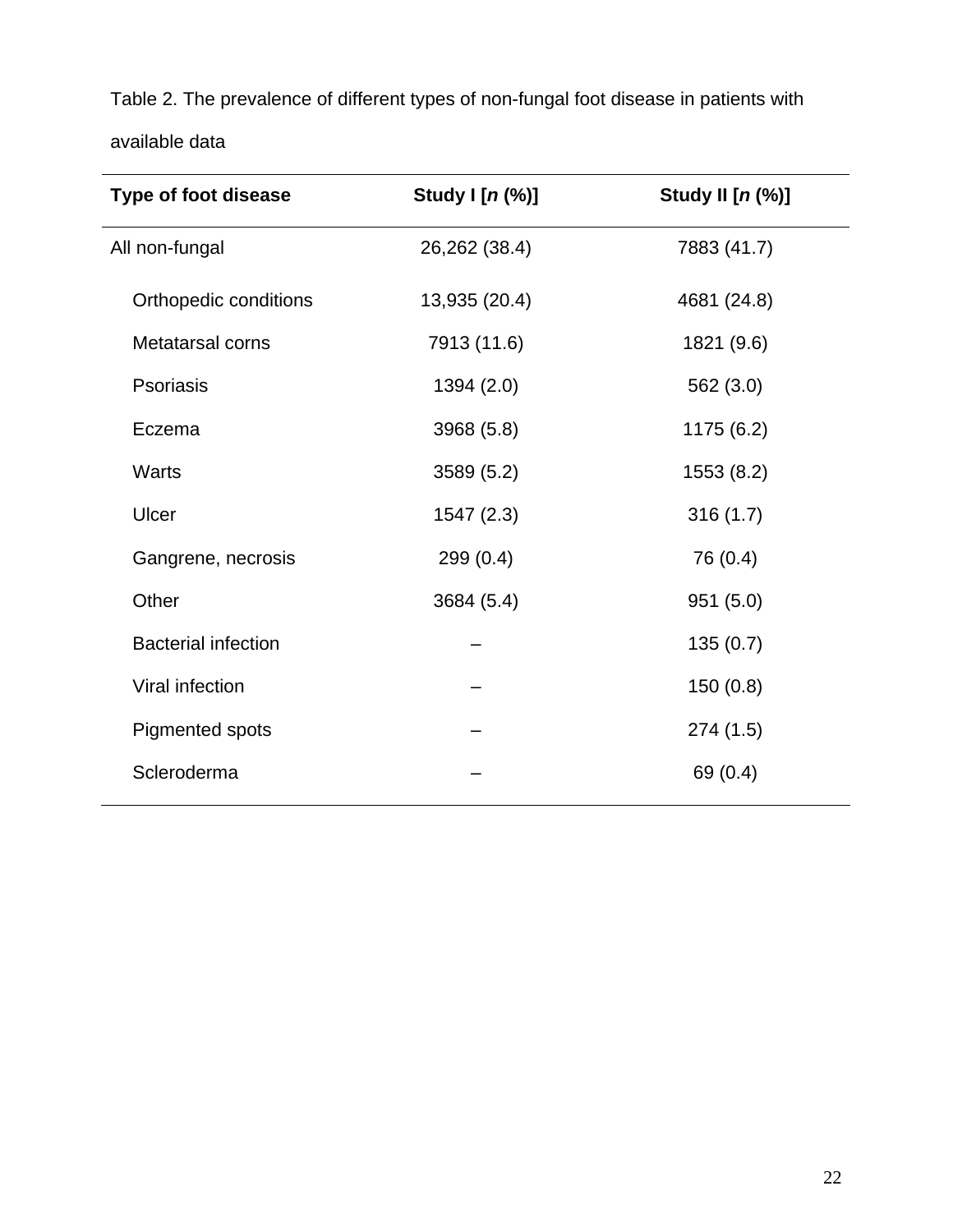Table 2. The prevalence of different types of non-fungal foot disease in patients with available data

| <b>Type of foot disease</b> | Study I [n (%)] | Study II [n (%)] |
|-----------------------------|-----------------|------------------|
| All non-fungal              | 26,262 (38.4)   | 7883 (41.7)      |
| Orthopedic conditions       | 13,935 (20.4)   | 4681 (24.8)      |
| Metatarsal corns            | 7913 (11.6)     | 1821 (9.6)       |
| Psoriasis                   | 1394 (2.0)      | 562 (3.0)        |
| Eczema                      | 3968 (5.8)      | 1175 (6.2)       |
| Warts                       | 3589(5.2)       | 1553 (8.2)       |
| Ulcer                       | 1547(2.3)       | 316(1.7)         |
| Gangrene, necrosis          | 299(0.4)        | 76 (0.4)         |
| Other                       | 3684 (5.4)      | 951(5.0)         |
| <b>Bacterial infection</b>  |                 | 135(0.7)         |
| Viral infection             |                 | 150(0.8)         |
| Pigmented spots             |                 | 274(1.5)         |
| Scleroderma                 |                 | 69 (0.4)         |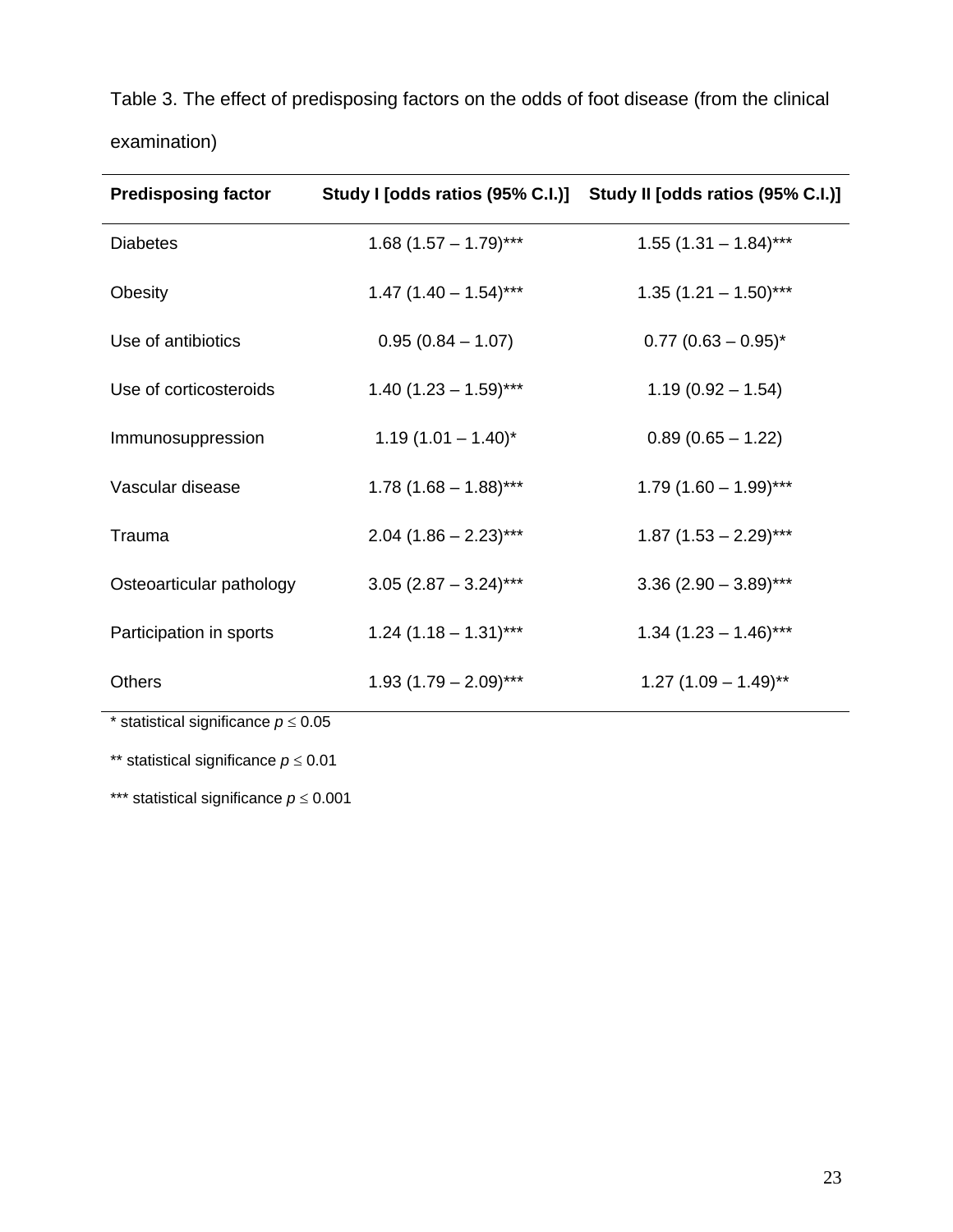Table 3. The effect of predisposing factors on the odds of foot disease (from the clinical examination)

| <b>Predisposing factor</b> | Study I [odds ratios (95% C.I.)] | Study II [odds ratios (95% C.I.)]  |
|----------------------------|----------------------------------|------------------------------------|
| <b>Diabetes</b>            | $1.68$ (1.57 – 1.79)***          | $1.55$ (1.31 - 1.84)***            |
| Obesity                    | $1.47$ (1.40 - 1.54)***          | $1.35(1.21 - 1.50)$ ***            |
| Use of antibiotics         | $0.95(0.84 - 1.07)$              | $0.77$ (0.63 – 0.95)*              |
| Use of corticosteroids     | $1.40(1.23 - 1.59)$ ***          | $1.19(0.92 - 1.54)$                |
| Immunosuppression          | $1.19(1.01 - 1.40)^{*}$          | $0.89(0.65 - 1.22)$                |
| Vascular disease           | $1.78$ (1.68 – 1.88)***          | $1.79(1.60 - 1.99)$ ***            |
| Trauma                     | $2.04$ (1.86 - 2.23)***          | $1.87(1.53 - 2.29)***$             |
| Osteoarticular pathology   | $3.05$ (2.87 - 3.24)***          | $3.36$ (2.90 - 3.89)***            |
| Participation in sports    | $1.24$ (1.18 - 1.31)***          | $1.34$ (1.23 - 1.46)***            |
| <b>Others</b>              | $1.93(1.79 - 2.09)$ ***          | $1.27$ (1.09 - 1.49) <sup>**</sup> |

\* statistical significance  $p \le 0.05$ 

\*\* statistical significance *p* ≤ 0.01

\*\*\* statistical significance *p* ≤ 0.001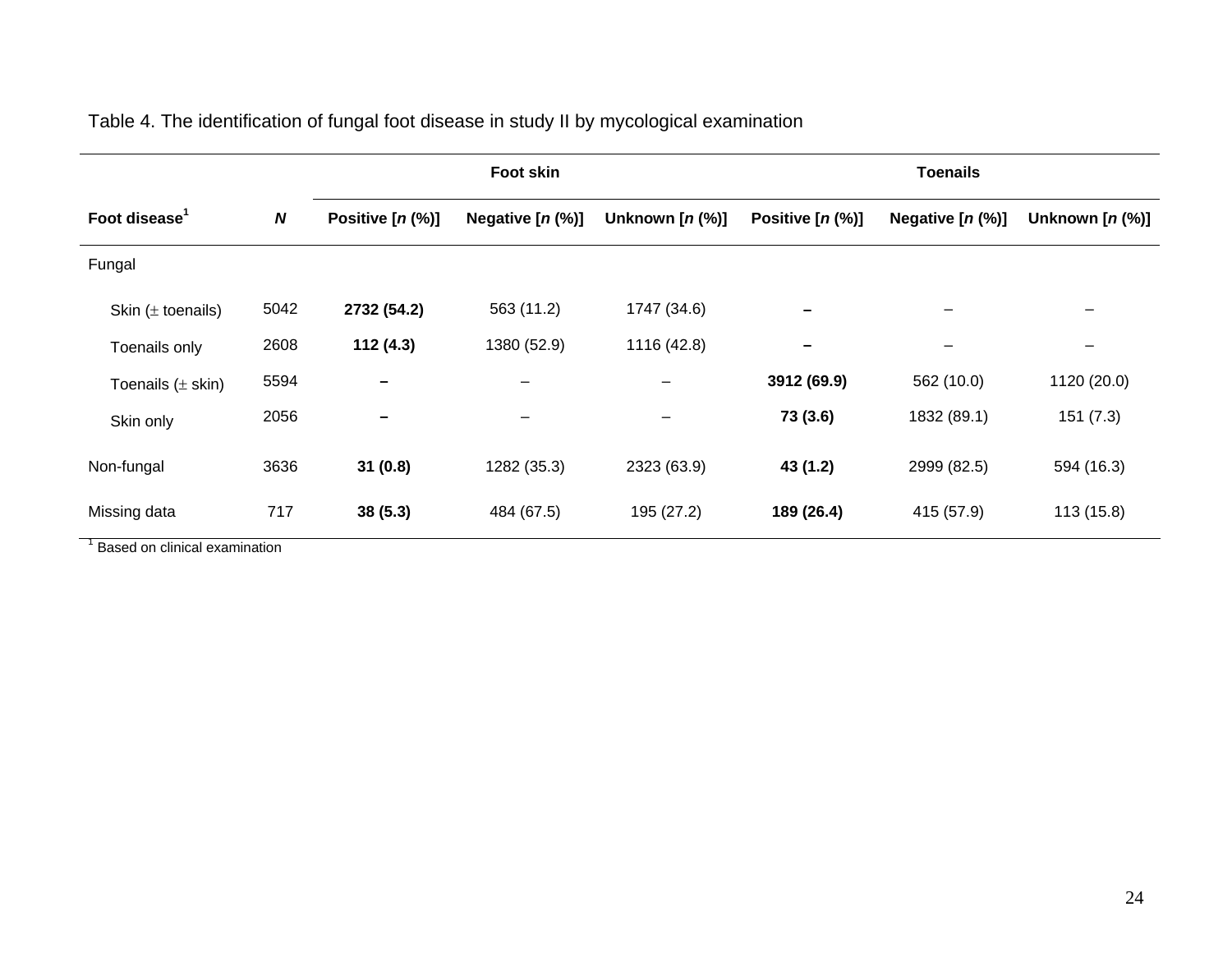|                           |                  |                          | <b>Foot skin</b>         |                    |                     | <b>Toenails</b>     |                          |
|---------------------------|------------------|--------------------------|--------------------------|--------------------|---------------------|---------------------|--------------------------|
| Foot disease <sup>1</sup> | $\boldsymbol{N}$ | Positive $[n (\%)]$      | Negative $[n (\%)]$      | Unknown $[n (\%)]$ | Positive $[n (\%)]$ | Negative $[n (\%)]$ | Unknown $[n (\%)]$       |
| Fungal                    |                  |                          |                          |                    |                     |                     |                          |
| Skin $(\pm$ toenails)     | 5042             | 2732 (54.2)              | 563 (11.2)               | 1747 (34.6)        | -                   | —                   |                          |
| Toenails only             | 2608             | 112(4.3)                 | 1380 (52.9)              | 1116 (42.8)        | -                   | —                   | $\overline{\phantom{0}}$ |
| Toenails $(\pm$ skin)     | 5594             | $\overline{\phantom{0}}$ |                          | $\qquad \qquad -$  | 3912 (69.9)         | 562 (10.0)          | 1120 (20.0)              |
| Skin only                 | 2056             | -                        | $\overline{\phantom{m}}$ | $\qquad \qquad -$  | 73 (3.6)            | 1832 (89.1)         | 151(7.3)                 |
| Non-fungal                | 3636             | 31(0.8)                  | 1282 (35.3)              | 2323 (63.9)        | 43 (1.2)            | 2999 (82.5)         | 594 (16.3)               |
| Missing data              | 717              | 38(5.3)                  | 484 (67.5)               | 195 (27.2)         | 189 (26.4)          | 415 (57.9)          | 113(15.8)                |

Table 4. The identification of fungal foot disease in study II by mycological examination

<sup>1</sup> Based on clinical examination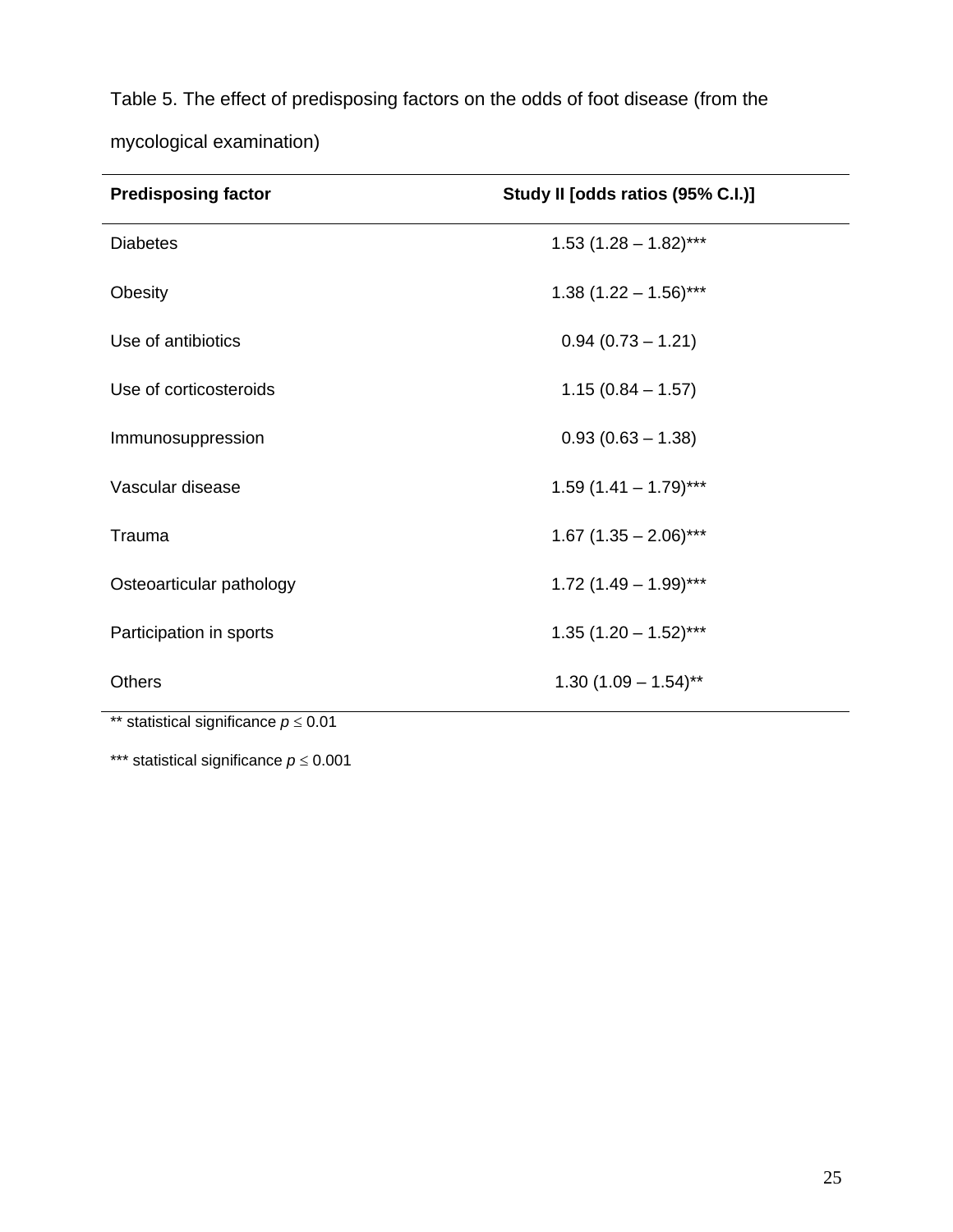Table 5. The effect of predisposing factors on the odds of foot disease (from the mycological examination)

| <b>Predisposing factor</b>                          | Study II [odds ratios (95% C.I.)] |
|-----------------------------------------------------|-----------------------------------|
| <b>Diabetes</b>                                     | $1.53$ $(1.28 - 1.82)$ ***        |
| Obesity                                             | $1.38$ (1.22 - 1.56)***           |
| Use of antibiotics                                  | $0.94(0.73 - 1.21)$               |
| Use of corticosteroids                              | $1.15(0.84 - 1.57)$               |
| Immunosuppression                                   | $0.93(0.63 - 1.38)$               |
| Vascular disease                                    | $1.59(1.41 - 1.79)$ ***           |
| Trauma                                              | $1.67$ (1.35 - 2.06)***           |
| Osteoarticular pathology                            | $1.72$ (1.49 - 1.99)***           |
| Participation in sports                             | $1.35(1.20 - 1.52)$ ***           |
| <b>Others</b><br>$\sim$ $\sim$ $\sim$ $\sim$ $\sim$ | $1.30(1.09 - 1.54)$ **            |

\*\* statistical significance *p* ≤ 0.01

\*\*\* statistical significance *p* ≤ 0.001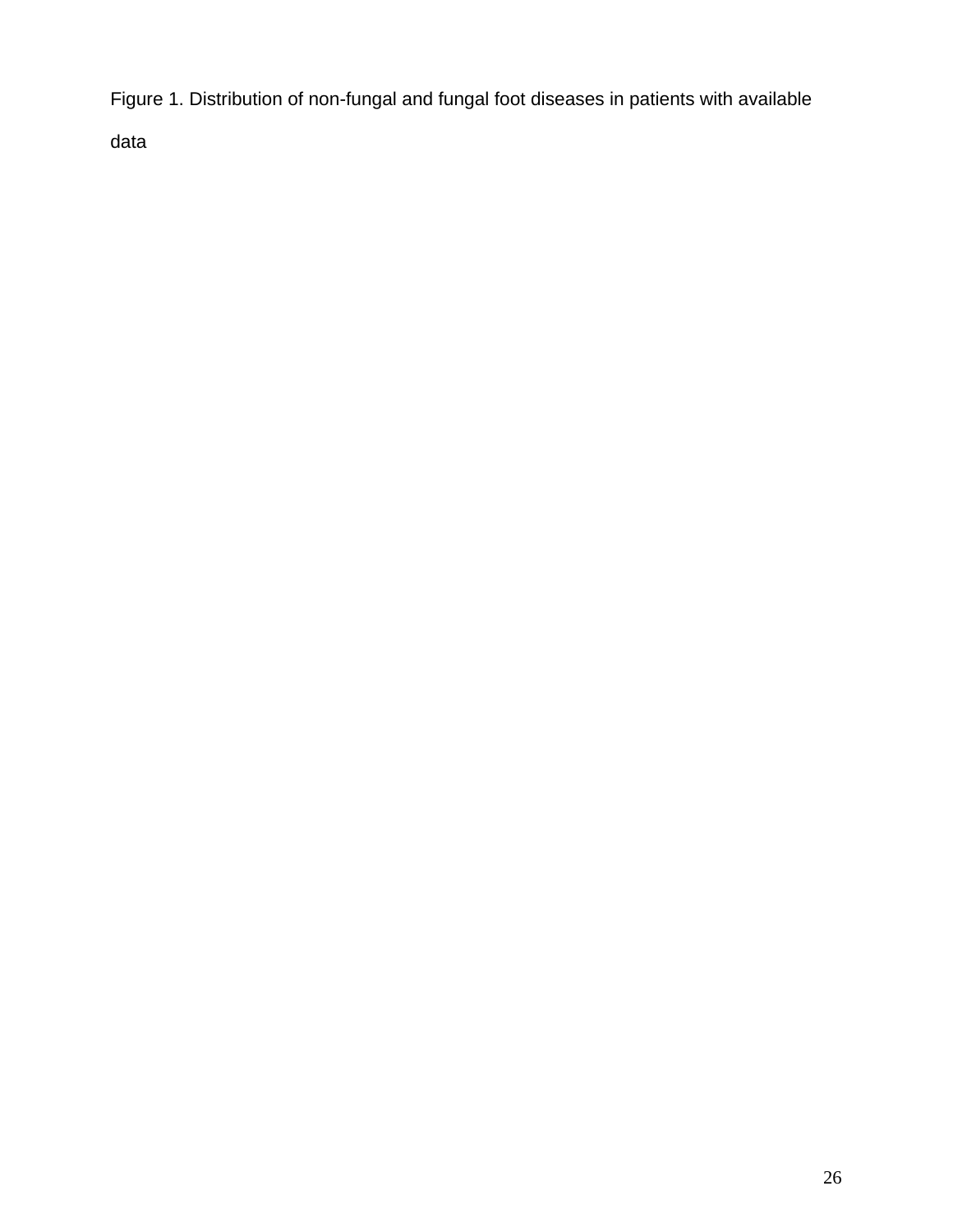Figure 1. Distribution of non-fungal and fungal foot diseases in patients with available

data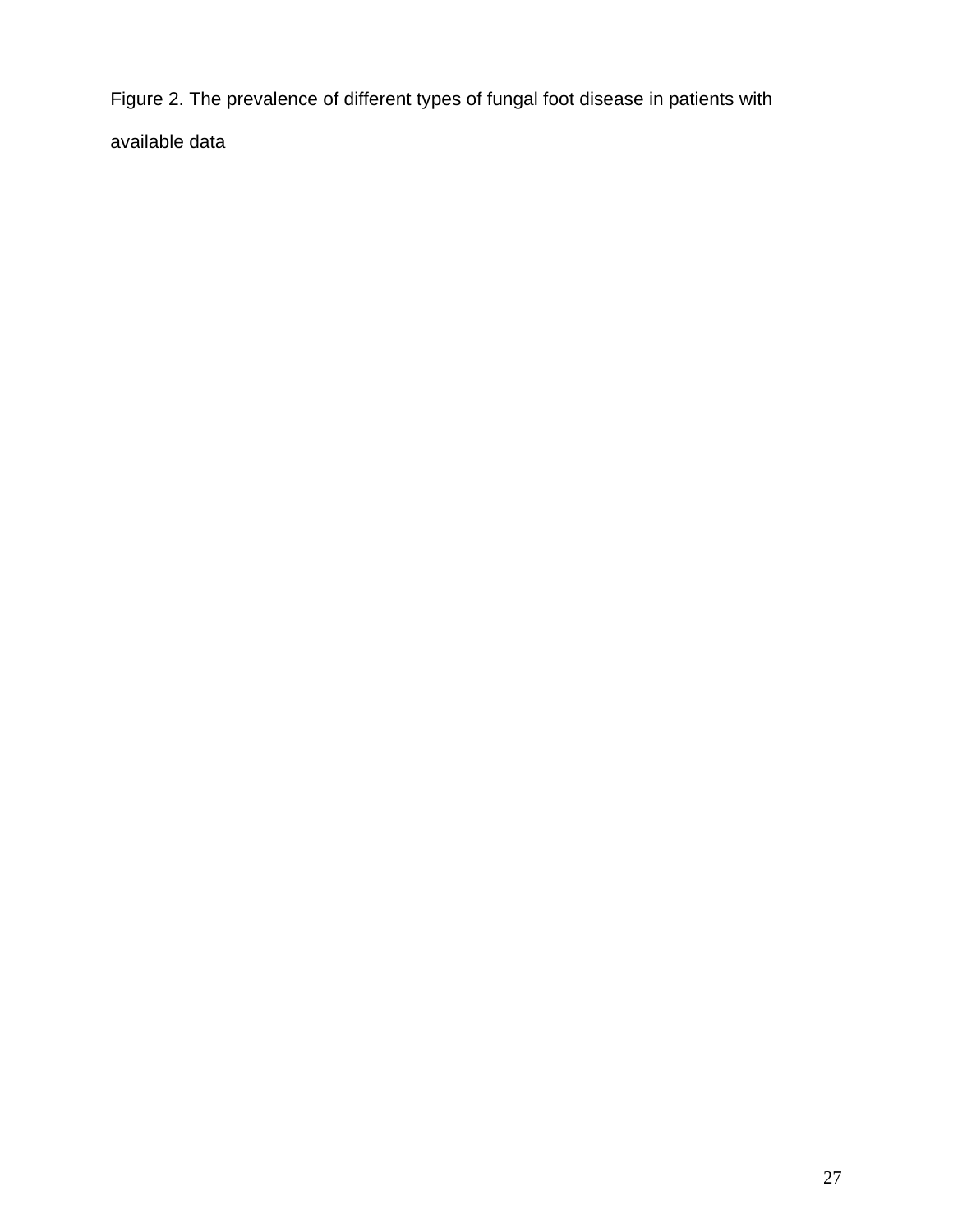Figure 2. The prevalence of different types of fungal foot disease in patients with available data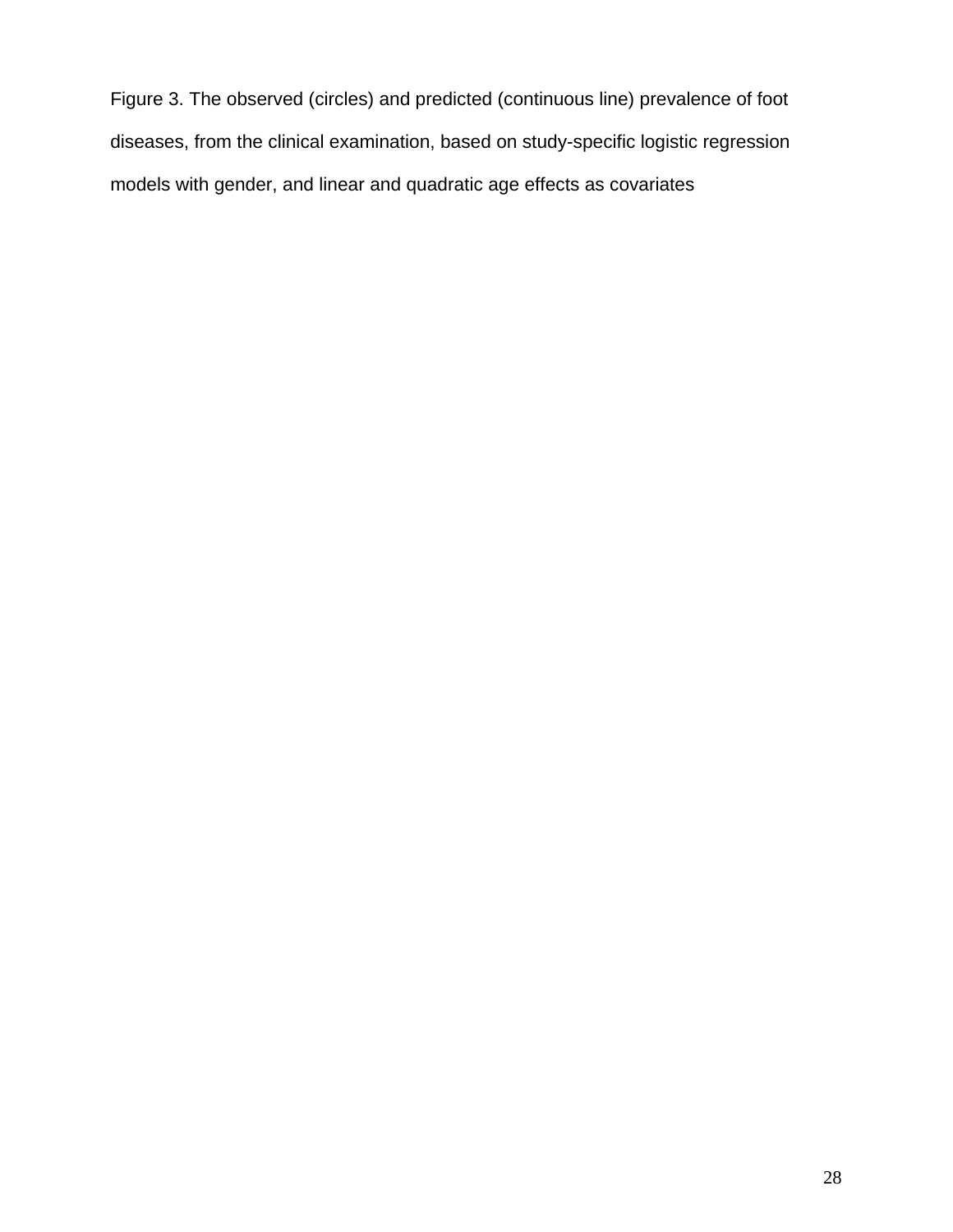Figure 3. The observed (circles) and predicted (continuous line) prevalence of foot diseases, from the clinical examination, based on study-specific logistic regression models with gender, and linear and quadratic age effects as covariates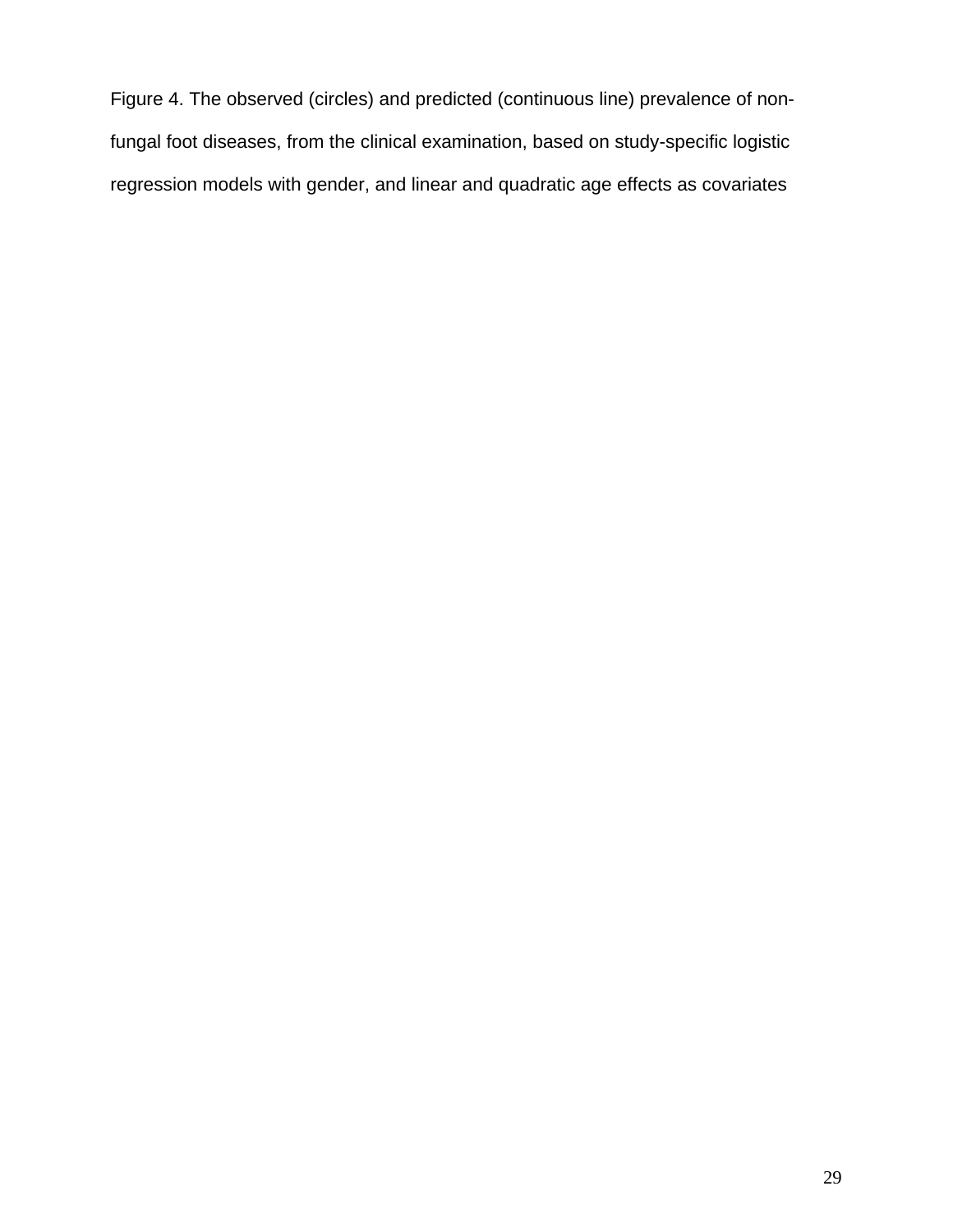Figure 4. The observed (circles) and predicted (continuous line) prevalence of nonfungal foot diseases, from the clinical examination, based on study-specific logistic regression models with gender, and linear and quadratic age effects as covariates